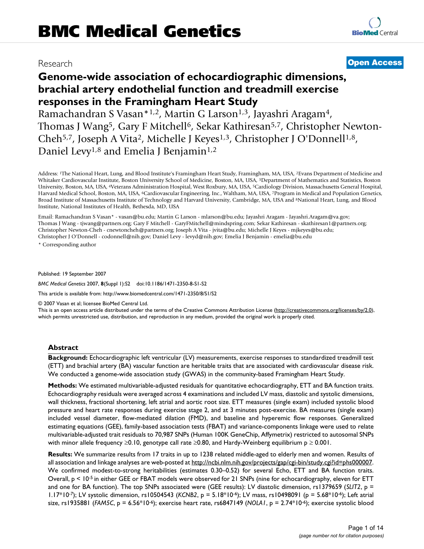# Research **[Open Access](http://www.biomedcentral.com/info/about/charter/)**

# **Genome-wide association of echocardiographic dimensions, brachial artery endothelial function and treadmill exercise responses in the Framingham Heart Study**

Ramachandran S Vasan\*<sup>1,2</sup>, Martin G Larson<sup>1,3</sup>, Jayashri Aragam<sup>4</sup>, Thomas J Wang<sup>5</sup>, Gary F Mitchell<sup>6</sup>, Sekar Kathiresan<sup>5,7</sup>, Christopher Newton-Cheh<sup>5,7</sup>, Joseph A Vita<sup>2</sup>, Michelle J Keyes<sup>1,3</sup>, Christopher J O'Donnell<sup>1,8</sup>, Daniel Levy<sup>1,8</sup> and Emelia J Benjamin<sup>1,2</sup>

Address: 1The National Heart, Lung, and Blood Institute's Framingham Heart Study, Framingham, MA, USA, 2Evans Department of Medicine and Whitaker Cardiovascular Institute, Boston University School of Medicine, Boston, MA, USA, 3Department of Mathematics and Statistics, Boston University, Boston, MA, USA, 4Veterans Administration Hospital, West Roxbury, MA, USA, 5Cardiology Division, Massachusetts General Hospital, Harvard Medical School, Boston, MA, USA, 6Cardiovascular Engineering, Inc., Waltham, MA, USA, 7Program in Medical and Population Genetics, Broad Institute of Massachusetts Institute of Technology and Harvard University, Cambridge, MA, USA and 8National Heart, Lung, and Blood Institute, National Institutes of Health, Bethesda, MD, USA

Email: Ramachandran S Vasan\* - vasan@bu.edu; Martin G Larson - mlarson@bu.edu; Jayashri Aragam - Jayashri.Aragam@va.gov; Thomas J Wang - tjwang@partners.org; Gary F Mitchell - GaryFMitchell@mindspring.com; Sekar Kathiresan - skathiresan1@partners.org; Christopher Newton-Cheh - cnewtoncheh@partners.org; Joseph A Vita - jvita@bu.edu; Michelle J Keyes - mjkeyes@bu.edu; Christopher J O'Donnell - codonnell@nih.gov; Daniel Levy - levyd@nih.gov; Emelia J Benjamin - emelia@bu.edu

\* Corresponding author

Published: 19 September 2007

*BMC Medical Genetics* 2007, **8**(Suppl 1):S2 doi:10.1186/1471-2350-8-S1-S2

[This article is available from: http://www.biomedcentral.com/1471-2350/8/S1/S2](http://www.biomedcentral.com/1471-2350/8/S1/S2)

© 2007 Vasan et al; licensee BioMed Central Ltd.

This is an open access article distributed under the terms of the Creative Commons Attribution License [\(http://creativecommons.org/licenses/by/2.0\)](http://creativecommons.org/licenses/by/2.0), which permits unrestricted use, distribution, and reproduction in any medium, provided the original work is properly cited.

#### **Abstract**

**Background:** Echocardiographic left ventricular (LV) measurements, exercise responses to standardized treadmill test (ETT) and brachial artery (BA) vascular function are heritable traits that are associated with cardiovascular disease risk. We conducted a genome-wide association study (GWAS) in the community-based Framingham Heart Study.

**Methods:** We estimated multivariable-adjusted residuals for quantitative echocardiography, ETT and BA function traits. Echocardiography residuals were averaged across 4 examinations and included LV mass, diastolic and systolic dimensions, wall thickness, fractional shortening, left atrial and aortic root size. ETT measures (single exam) included systolic blood pressure and heart rate responses during exercise stage 2, and at 3 minutes post-exercise. BA measures (single exam) included vessel diameter, flow-mediated dilation (FMD), and baseline and hyperemic flow responses. Generalized estimating equations (GEE), family-based association tests (FBAT) and variance-components linkage were used to relate multivariable-adjusted trait residuals to 70,987 SNPs (Human 100K GeneChip, Affymetrix) restricted to autosomal SNPs with minor allele frequency  $\geq 0.10$ , genotype call rate  $\geq 0.80$ , and Hardy-Weinberg equilibrium  $p \geq 0.001$ .

**Results:** We summarize results from 17 traits in up to 1238 related middle-aged to elderly men and women. Results of all association and linkage analyses are web-posted at [http://ncbi.nlm.nih.gov/projects/gap/cgi-bin/study.cgi?id=phs000007.](http://ncbi.nlm.nih.gov/projects/gap/cgi-bin/study.cgi?id=phs000007) We confirmed modest-to-strong heritabilities (estimates 0.30–0.52) for several Echo, ETT and BA function traits. Overall, p < 10-5 in either GEE or FBAT models were observed for 21 SNPs (nine for echocardiography, eleven for ETT and one for BA function). The top SNPs associated were (GEE results): LV diastolic dimension, rs1379659 (SLIT2, p = 1.17\*10-7); LV systolic dimension, rs10504543 (*KCNB2*, p = 5.18\*10-6); LV mass, rs10498091 (p = 5.68\*10-6); Left atrial size, rs1935881 (*FAM5C*, p = 6.56\*10-6); exercise heart rate, rs6847149 (*NOLA1*, p = 2.74\*10-6); exercise systolic blood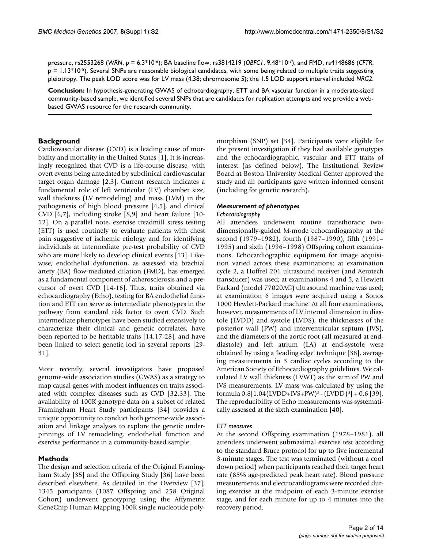pressure, rs2553268 (*WRN*, p = 6.3\*10-6); BA baseline flow, rs3814219 (*OBFC1*, 9.48\*10-7), and FMD, rs4148686 (*CFTR*,  $p = 1.13*10-5$ ). Several SNPs are reasonable biological candidates, with some being related to multiple traits suggesting pleiotropy. The peak LOD score was for LV mass (4.38; chromosome 5); the 1.5 LOD support interval included *NRG2*.

**Conclusion:** In hypothesis-generating GWAS of echocardiography, ETT and BA vascular function in a moderate-sized community-based sample, we identified several SNPs that are candidates for replication attempts and we provide a webbased GWAS resource for the research community.

# **Background**

Cardiovascular disease (CVD) is a leading cause of morbidity and mortality in the United States [1]. It is increasingly recognized that CVD is a life-course disease, with overt events being antedated by subclinical cardiovascular target organ damage [2,3]. Current research indicates a fundamental role of left ventricular (LV) chamber size, wall thickness (LV remodeling) and mass (LVM) in the pathogenesis of high blood pressure [4,5], and clinical CVD [6,7], including stroke [8,9] and heart failure [10- 12]. On a parallel note, exercise treadmill stress testing (ETT) is used routinely to evaluate patients with chest pain suggestive of ischemic etiology and for identifying individuals at intermediate pre-test probability of CVD who are more likely to develop clinical events [13]. Likewise, endothelial dysfunction, as assessed via brachial artery (BA) flow-mediated dilation (FMD), has emerged as a fundamental component of atherosclerosis and a precursor of overt CVD [14-16]. Thus, traits obtained via echocardiography (Echo), testing for BA endothelial function and ETT can serve as intermediate phenotypes in the pathway from standard risk factor to overt CVD. Such intermediate phenotypes have been studied extensively to characterize their clinical and genetic correlates, have been reported to be heritable traits [14,17-28], and have been linked to select genetic loci in several reports [29- 31].

More recently, several investigators have proposed genome-wide association studies (GWAS) as a strategy to map causal genes with modest influences on traits associated with complex diseases such as CVD [32,33]. The availability of 100K genotype data on a subset of related Framingham Heart Study participants [34] provides a unique opportunity to conduct both genome-wide association and linkage analyses to explore the genetic underpinnings of LV remodeling, endothelial function and exercise performance in a community-based sample.

# **Methods**

The design and selection criteria of the Original Framingham Study [35] and the Offspring Study [36] have been described elsewhere. As detailed in the Overview [37], 1345 participants (1087 Offspring and 258 Original Cohort) underwent genotyping using the Affymetrix GeneChip Human Mapping 100K single nucleotide polymorphism (SNP) set [34]. Participants were eligible for the present investigation if they had available genotypes and the echocardiographic, vascular and ETT traits of interest (as defined below). The Institutional Review Board at Boston University Medical Center approved the study and all participants gave written informed consent (including for genetic research).

# *Measurement of phenotypes*

#### *Echocardiography*

All attendees underwent routine transthoracic twodimensionally-guided M-mode echocardiography at the second (1979–1982), fourth (1987–1990), fifth (1991– 1995) and sixth (1996–1998) Offspring cohort examinations. Echocardiographic equipment for image acquisition varied across these examinations: at examination cycle 2, a Hoffrel 201 ultrasound receiver (and Aerotech transducer) was used; at examinations 4 and 5, a Hewlett Packard (model 77020AC) ultrasound machine was used; at examination 6 images were acquired using a Sonos 1000 Hewlett-Packard machine. At all four examinations, however, measurements of LV internal dimension in diastole (LVDD) and systole (LVDS), the thicknesses of the posterior wall (PW) and interventricular septum (IVS), and the diameters of the aortic root (all measured at enddiastole) and left atrium (LA) at end-systole were obtained by using a 'leading edge' technique [38], averaging measurements in 3 cardiac cycles according to the American Society of Echocardiography guidelines. We calculated LV wall thickness (LVWT) as the sum of PW and IVS measurements. LV mass was calculated by using the formula 0.8[1.04(LVDD+IVS+PW)3 - (LVDD)3] + 0.6 [39]. The reproducibility of Echo measurements was systematically assessed at the sixth examination [40].

#### *ETT measures*

At the second Offspring examination (1978–1981), all attendees underwent submaximal exercise test according to the standard Bruce protocol for up to five incremental 3-minute stages. The test was terminated (without a cool down period) when participants reached their target heart rate (85% age-predicted peak heart rate). Blood pressure measurements and electrocardiograms were recorded during exercise at the midpoint of each 3-minute exercise stage, and for each minute for up to 4 minutes into the recovery period.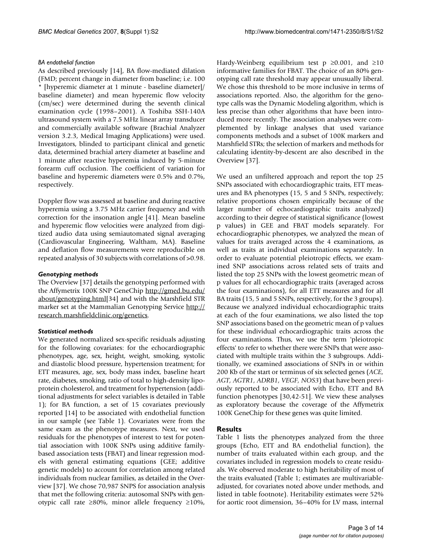#### *BA endothelial function*

As described previously [14], BA flow-mediated dilation (FMD; percent change in diameter from baseline; i.e. 100 \* [hyperemic diameter at 1 minute - baseline diameter]/ baseline diameter) and mean hyperemic flow velocity (cm/sec) were determined during the seventh clinical examination cycle (1998–2001). A Toshiba SSH-140A ultrasound system with a 7.5 MHz linear array transducer and commercially available software (Brachial Analyzer version 3.2.3, Medical Imaging Applications) were used. Investigators, blinded to participant clinical and genetic data, determined brachial artery diameter at baseline and 1 minute after reactive hyperemia induced by 5-minute forearm cuff occlusion. The coefficient of variation for baseline and hyperemic diameters were 0.5% and 0.7%, respectively.

Doppler flow was assessed at baseline and during reactive hyperemia using a 3.75 MHz carrier frequency and with correction for the insonation angle [41]. Mean baseline and hyperemic flow velocities were analyzed from digitized audio data using semiautomated signal averaging (Cardiovascular Engineering, Waltham, MA). Baseline and deflation flow measurements were reproducible on repeated analysis of 30 subjects with correlations of >0.98.

#### *Genotyping methods*

The Overview [37] details the genotyping performed with the Affymetrix 100K SNP GeneChip [http://gmed.bu.edu/](http://gmed.bu.edu/about/genotyping.html) [about/genotyping.html](http://gmed.bu.edu/about/genotyping.html)[34] and with the Marshfield STR marker set at the Mammalian Genotyping Service [http://](http://research.marshfieldclinic.org/genetics) [research.marshfieldclinic.org/genetics](http://research.marshfieldclinic.org/genetics).

#### *Statistical methods*

We generated normalized sex-specific residuals adjusting for the following covariates: for the echocardiographic phenotypes, age, sex, height, weight, smoking, systolic and diastolic blood pressure, hypertension treatment; for ETT measures, age, sex, body mass index, baseline heart rate, diabetes, smoking, ratio of total to high-density lipoprotein cholesterol, and treatment for hypertension (additional adjustments for select variables is detailed in Table 1); for BA function, a set of 15 covariates previously reported [14] to be associated with endothelial function in our sample (see Table 1). Covariates were from the same exam as the phenotype measures. Next, we used residuals for the phenotypes of interest to test for potential association with 100K SNPs using additive familybased association tests (FBAT) and linear regression models with general estimating equations (GEE; additive genetic models) to account for correlation among related individuals from nuclear families, as detailed in the Overview [37]. We chose 70,987 SNPS for association analysis that met the following criteria: autosomal SNPs with genotypic call rate ≥80%, minor allele frequency ≥10%,

Hardy-Weinberg equilibrium test  $p \ge 0.001$ , and  $\ge 10$ informative families for FBAT. The choice of an 80% genotyping call rate threshold may appear unusually liberal. We chose this threshold to be more inclusive in terms of associations reported. Also, the algorithm for the genotype calls was the Dynamic Modeling algorithm, which is less precise than other algorithms that have been introduced more recently. The association analyses were complemented by linkage analyses that used variance components methods and a subset of 100K markers and Marshfield STRs; the selection of markers and methods for calculating identity-by-descent are also described in the Overview [37].

We used an unfiltered approach and report the top 25 SNPs associated with echocardiographic traits, ETT measures and BA phenotypes (15, 5 and 5 SNPs, respectively; relative proportions chosen empirically because of the larger number of echocardiographic traits analyzed) according to their degree of statistical significance (lowest p values) in GEE and FBAT models separately. For echocardiographic phenotypes, we analyzed the mean of values for traits averaged across the 4 examinations, as well as traits at individual examinations separately. In order to evaluate potential pleiotropic effects, we examined SNP associations across related sets of traits and listed the top 25 SNPs with the lowest geometric mean of p values for all echocardiographic traits (averaged across the four examinations), for all ETT measures and for all BA traits (15, 5 and 5 SNPs, respectively, for the 3 groups). Because we analyzed individual echocardiographic traits at each of the four examinations, we also listed the top SNP associations based on the geometric mean of p values for these individual echocardiographic traits across the four examinations. Thus, we use the term 'pleiotropic effects' to refer to whether there were SNPs that were associated with multiple traits within the 3 subgroups. Additionally, we examined associations of SNPs in or within 200 Kb of the start or terminus of six selected genes (*ACE, AGT, AGTR1, ADRB1, VEGF, NOS3*) that have been previously reported to be associated with Echo, ETT and BA function phenotypes [30,42-51]. We view these analyses as exploratory because the coverage of the Affymetrix 100K GeneChip for these genes was quite limited.

#### **Results**

Table 1 lists the phenotypes analyzed from the three groups (Echo, ETT and BA endothelial function), the number of traits evaluated within each group, and the covariates included in regression models to create residuals. We observed moderate to high heritability of most of the traits evaluated (Table 1; estimates are multivariableadjusted, for covariates noted above under methods, and listed in table footnote). Heritability estimates were 52% for aortic root dimension, 36–40% for LV mass, internal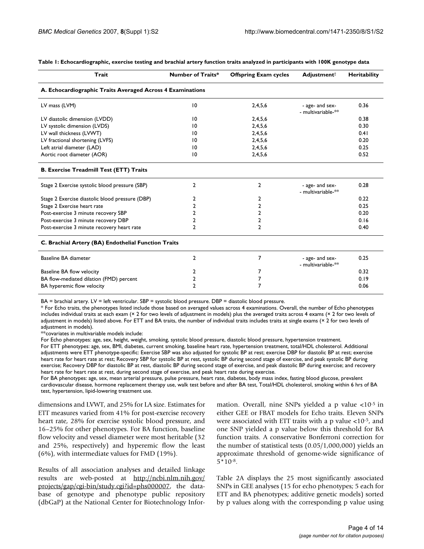| Trait                                                      | <b>Number of Traits*</b> | <b>Offspring Exam cycles</b> | <b>Adjustment</b>                     | Heritability |
|------------------------------------------------------------|--------------------------|------------------------------|---------------------------------------|--------------|
| A. Echocardiographic Traits Averaged Across 4 Examinations |                          |                              |                                       |              |
| LV mass (LVM)                                              | $\overline{10}$          | 2,4,5,6                      | - age- and sex-<br>- multivariable-** | 0.36         |
| LV diastolic dimension (LVDD)                              | $\overline{10}$          | 2,4,5,6                      |                                       | 0.38         |
| LV systolic dimension (LVDS)                               | 10                       | 2,4,5,6                      |                                       | 0.30         |
| LV wall thickness (LVWT)                                   | 10                       | 2,4,5,6                      |                                       | 0.41         |
| LV fractional shortening (LVFS)                            | 10                       | 2,4,5,6                      |                                       | 0.20         |
| Left atrial diameter (LAD)                                 | 10                       | 2,4,5,6                      |                                       | 0.25         |
| Aortic root diameter (AOR)                                 | 10                       | 2,4,5,6                      |                                       | 0.52         |
| <b>B. Exercise Treadmill Test (ETT) Traits</b>             |                          |                              |                                       |              |
| Stage 2 Exercise systolic blood pressure (SBP)             | $\overline{2}$           | $\mathbf{2}$                 | - age- and sex-<br>- multivariable-** | 0.28         |
| Stage 2 Exercise diastolic blood pressure (DBP)            | 2                        | 2                            |                                       | 0.22         |
| Stage 2 Exercise heart rate                                | 2                        | $\overline{2}$               |                                       | 0.25         |
| Post-exercise 3 minute recovery SBP                        | 2                        | $\overline{2}$               |                                       | 0.20         |
| Post-exercise 3 minute recovery DBP                        | 2                        | 2                            |                                       | 0.16         |
| Post-exercise 3 minute recovery heart rate                 | $\overline{2}$           | $\overline{2}$               |                                       | 0.40         |
| C. Brachial Artery (BA) Endothelial Function Traits        |                          |                              |                                       |              |
| Baseline BA diameter                                       | 2                        | 7                            | - age- and sex-<br>- multivariable-** | 0.25         |
| Baseline BA flow velocity                                  | 2                        | 7                            |                                       | 0.32         |
| BA flow-mediated dilation (FMD) percent                    | 2                        | 7                            |                                       | 0.19         |
| BA hyperemic flow velocity                                 | $\mathfrak z$            | 7                            |                                       | 0.06         |

#### **Table 1: Echocardiographic, exercise testing and brachial artery function traits analyzed in participants with 100K genotype data**

BA = brachial artery. LV = left ventricular. SBP = systolic blood pressure. DBP = diastolic blood pressure.

\* For Echo traits, the phenotypes listed include those based on averaged values across 4 examinations. Overall, the number of Echo phenotypes includes individual traits at each exam ( $\times$  2 for two levels of adjustment in models) plus the averaged traits across 4 exams ( $\times$  2 for two levels of adjustment in models) listed above. For ETT and BA traits, the number of individual traits includes traits at single exams (× 2 for two levels of adjustment in models).

\*\*covariates in multivariable models include:

For Echo phenotypes: age, sex, height, weight, smoking, systolic blood pressure, diastolic blood pressure, hypertension treatment.

For ETT phenotypes: age, sex, BMI, diabetes, current smoking, baseline heart rate, hypertension treatment, total/HDL cholesterol. Additional adjustments were ETT phenotype-specific: Exercise SBP was also adjusted for systolic BP at rest; exercise DBP for diastolic BP at rest; exercise heart rate for heart rate at rest; Recovery SBP for systolic BP at rest, systolic BP during second stage of exercise, and peak systolic BP during exercise; Recovery DBP for diastolic BP at rest, diastolic BP during second stage of exercise, and peak diastolic BP during exercise; and recovery heart rate for heart rate at rest, during second stage of exercise, and peak heart rate during exercise.

For BA phenotypes: age, sex, mean arterial pressure, pulse pressure, heart rate, diabetes, body mass index, fasting blood glucose, prevalent cardiovascular disease, hormone replacement therapy use, walk test before and after BA test, Total/HDL cholesterol, smoking within 6 hrs of BA test, hypertension, lipid-lowering treatment use.

dimensions and LVWT, and 25% for LA size. Estimates for ETT measures varied from 41% for post-exercise recovery heart rate, 28% for exercise systolic blood pressure, and 16–25% for other phenotypes. For BA function, baseline flow velocity and vessel diameter were most heritable (32 and 25%, respectively) and hyperemic flow the least (6%), with intermediate values for FMD (19%).

Results of all association analyses and detailed linkage results are web-posted at [http://ncbi.nlm.nih.gov/](http://ncbi.nlm.nih.gov/projects/gap/cgi-bin/study.cgi?id=phs000007) [projects/gap/cgi-bin/study.cgi?id=phs000007](http://ncbi.nlm.nih.gov/projects/gap/cgi-bin/study.cgi?id=phs000007), the database of genotype and phenotype public repository (dbGaP) at the National Center for Biotechnology Information. Overall, nine SNPs yielded a p value <10-5 in either GEE or FBAT models for Echo traits. Eleven SNPs were associated with ETT traits with a p value <10-5, and one SNP yielded a p value below this threshold for BA function traits. A conservative Bonferroni correction for the number of statistical tests (0.05/1,000,000) yields an approximate threshold of genome-wide significance of 5\*10-8.

Table 2A displays the 25 most significantly associated SNPs in GEE analyses (15 for echo phenotypes; 5 each for ETT and BA phenotypes; additive genetic models) sorted by p values along with the corresponding p value using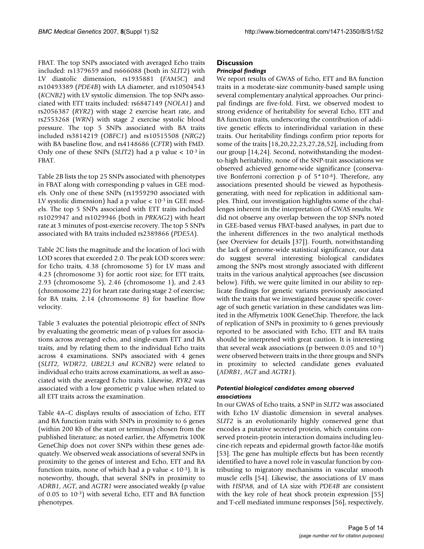FBAT. The top SNPs associated with averaged Echo traits included: rs1379659 and rs666088 (both in *SLIT2*) with LV diastolic dimension, rs1935881 (*FAM5C*) and rs10493389 (*PDE4B*) with LA diameter, and rs10504543 (*KCNB2*) with LV systolic dimension. The top SNPs associated with ETT traits included: rs6847149 (*NOLA1*) and rs2056387 (*RYR2*) with stage 2 exercise heart rate, and rs2553268 (*WRN*) with stage 2 exercise systolic blood pressure. The top 5 SNPs associated with BA traits included rs3814219 (*OBFC1*) and rs10515508 (*NRG2*) with BA baseline flow, and rs4148686 (*CFTR*) with FMD. Only one of these SNPs (*SLIT2*) had a p value < 10-3 in FBAT.

Table 2B lists the top 25 SNPs associated with phenotypes in FBAT along with corresponding p values in GEE models. Only one of these SNPs (rs1959290 associated with LV systolic dimension) had a p value  $< 10^{-3}$  in GEE models. The top 5 SNPs associated with ETT traits included rs1029947 and rs1029946 (both in *PRKAG2*) with heart rate at 3 minutes of post-exercise recovery. The top 5 SNPs associated with BA traits included rs2389866 (*PDE5A*).

Table 2C lists the magnitude and the location of loci with LOD scores that exceeded 2.0. The peak LOD scores were: for Echo traits, 4.38 (chromosome 5) for LV mass and 4.23 (chromosome 3) for aortic root size; for ETT traits, 2.93 (chromosome 5), 2.46 (chromosome 1), and 2.43 (chromosome 22) for heart rate during stage 2 of exercise; for BA traits, 2.14 (chromosome 8) for baseline flow velocity.

Table 3 evaluates the potential pleiotropic effect of SNPs by evaluating the geometric mean of p values for associations across averaged echo, and single-exam ETT and BA traits, and by relating them to the individual Echo traits across 4 examinations. SNPs associated with 4 genes (*SLIT2, WDR72, UBE2L3 and KCNB2*) were related to individual echo traits across examinations, as well as associated with the averaged Echo traits. Likewise, *RYR2* was associated with a low geometric p value when related to all ETT traits across the examination.

Table 4A–C displays results of association of Echo, ETT and BA function traits with SNPs in proximity to 6 genes (within 200 Kb of the start or terminus) chosen from the published literature; as noted earlier, the Affymetrix 100K GeneChip does not cover SNPs within these genes adequately. We observed weak associations of several SNPs in proximity to the genes of interest and Echo, ETT and BA function traits, none of which had a p value  $< 10^{-3}$ ). It is noteworthy, though, that several SNPs in proximity to *ADRB1, AGT*, and *AGTR1* were associated weakly (p value of 0.05 to 10-3) with several Echo, ETT and BA function phenotypes.

# **Discussion**

# *Principal findings*

We report results of GWAS of Echo, ETT and BA function traits in a moderate-size community-based sample using several complementary analytical approaches. Our principal findings are five-fold. First, we observed modest to strong evidence of heritability for several Echo, ETT and BA function traits, underscoring the contribution of additive genetic effects to interindividual variation in these traits. Our heritability findings confirm prior reports for some of the traits [18,20,22,23,27,28,52], including from our group [14,24]. Second, notwithstanding the modestto-high heritability, none of the SNP-trait associations we observed achieved genome-wide significance (conservative Bonferroni correction p of 5\*10-8). Therefore, any associations presented should be viewed as hypothesisgenerating, with need for replication in additional samples. Third, our investigation highlights some of the challenges inherent in the interpretation of GWAS results. We did not observe any overlap between the top SNPs noted in GEE-based versus FBAT-based analyses, in part due to the inherent differences in the two analytical methods (see Overview for details [37]). Fourth, notwithstanding the lack of genome-wide statistical significance, our data do suggest several interesting biological candidates among the SNPs most strongly associated with different traits in the various analytical approaches (see discussion below). Fifth, we were quite limited in our ability to replicate findings for genetic variants previously associated with the traits that we investigated because specific coverage of such genetic variation in these candidates was limited in the Affymetrix 100K GeneChip. Therefore, the lack of replication of SNPs in proximity to 6 genes previously reported to be associated with Echo, ETT and BA traits should be interpreted with great caution. It is interesting that several weak associations (p between  $0.05$  and  $10^{-3}$ ) were observed between traits in the three groups and SNPs in proximity to selected candidate genes evaluated (*ADRB1*, *AGT* and *AGTR1*).

# *Potential biological candidates among observed associations*

In our GWAS of Echo traits, a SNP in *SLIT2* was associated with Echo LV diastolic dimension in several analyses. *SLIT2* is an evolutionarily highly conserved gene that encodes a putative secreted protein, which contains conserved protein-protein interaction domains including leucine-rich repeats and epidermal growth factor-like motifs [53]. The gene has multiple effects but has been recently identified to have a novel role in vascular function by contributing to migratory mechanisms in vascular smooth muscle cells [54]. Likewise, the associations of LV mass with *HSPA8*, and of LA size with *PDE4B* are consistent with the key role of heat shock protein expression [55] and T-cell mediated immune responses [56], respectively,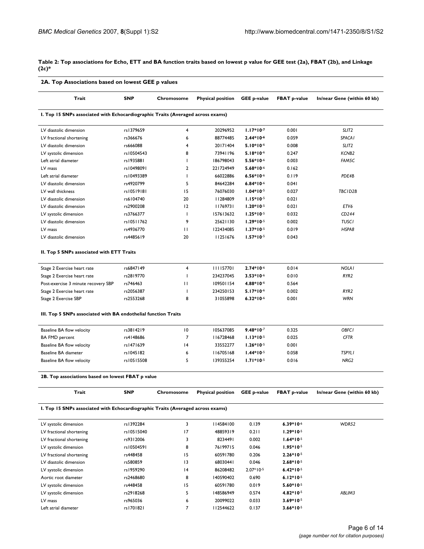**Table 2: Top associations for Echo, ETT and BA function traits based on lowest p value for GEE test (2a), FBAT (2b), and Linkage (2c)\***

| 2A. Top Associations based on lowest GEE p values                               |            |                |                          |                    |                     |                             |  |  |
|---------------------------------------------------------------------------------|------------|----------------|--------------------------|--------------------|---------------------|-----------------------------|--|--|
| Trait                                                                           | <b>SNP</b> | Chromosome     | <b>Physical position</b> | <b>GEE p-value</b> | <b>FBAT p-value</b> | In/near Gene (within 60 kb) |  |  |
| I. Top 15 SNPs associated with Echocardiographic Traits (Averaged across exams) |            |                |                          |                    |                     |                             |  |  |
| LV diastolic dimension                                                          | rs1379659  | 4              | 20296952                 | $1.17*10-7$        | 0.001               | SLIT <sub>2</sub>           |  |  |
| LV fractional shortening                                                        | rs366676   | 6              | 88774485                 | $2.44*10-6$        | 0.059               | <b>SPACA1</b>               |  |  |
| LV diastolic dimension                                                          | rs666088   | 4              | 20171404                 | $5.10*10-6$        | 0.008               | SLIT <sub>2</sub>           |  |  |
| LV systolic dimension                                                           | rs10504543 | 8              | 73941196                 | $5.18*10-6$        | 0.247               | KCNB <sub>2</sub>           |  |  |
| Left atrial diameter                                                            | rs1935881  | $\mathbf{I}$   | 186798043                | $5.56*10-6$        | 0.003               | FAM5C                       |  |  |
| LV mass                                                                         | rs10498091 | $\overline{2}$ | 221724949                | $5.68*10-6$        | 0.162               |                             |  |  |
| Left atrial diameter                                                            | rs10493389 | T              | 66022886                 | $6.56*10-6$        | 0.119               | PDE4B                       |  |  |
| LV diastolic dimension                                                          | rs4920799  | 5              | 84642284                 | $6.84*10-6$        | 0.041               |                             |  |  |
| LV wall thickness                                                               | rs10519181 | 15             | 76076030                 | $1.04*10-5$        | 0.027               | TBC1D2B                     |  |  |
| LV diastolic dimension                                                          | rs6104740  | 20             | 11284809                 | $1.15*10-5$        | 0.021               |                             |  |  |
| LV diastolic dimension                                                          | rs2900208  | 12             | 11769731                 | $1.20*10-5$        | 0.021               | ETV6                        |  |  |
| LV systolic dimension                                                           | rs3766377  | $\mathbf{I}$   | 157613632                | $1.25*10-5$        | 0.032               | CD244                       |  |  |
| LV diastolic dimension                                                          | rs10511762 | 9              | 25621130                 | $1.29*10-5$        | 0.002               | <b>TUSCI</b>                |  |  |
| LV mass                                                                         | rs4936770  | П              | 122434085                | $1.37*10-5$        | 0.019               | HSPA8                       |  |  |
| LV diastolic dimension                                                          | rs4485619  | 20             | 11251676                 | $1.57*10-5$        | 0.043               |                             |  |  |
| II. Top 5 SNPs associated with ETT Traits                                       |            |                |                          |                    |                     |                             |  |  |
| Stage 2 Exercise heart rate                                                     | rs6847149  | 4              | 111157701                | $2.74*10-6$        | 0.014               | <b>NOLAI</b>                |  |  |
| Stage 2 Exercise heart rate                                                     | rs2819770  | ı              | 234237045                | $3.53*10-6$        | 0.010               | RYR <sub>2</sub>            |  |  |
| Post-exercise 3 minute recovery SBP                                             | rs746463   | П              | 109501154                | 4.88*10-6          | 0.564               |                             |  |  |
| Stage 2 Exercise heart rate                                                     | rs2056387  | ı              | 234250153                | $5.17*10-6$        | 0.002               | RYR <sub>2</sub>            |  |  |
| Stage 2 Exercise SBP                                                            | rs2553268  | 8              | 31055898                 | $6.32*10-6$        | 0.001               | <b>WRN</b>                  |  |  |
| III. Top 5 SNPs associated with BA endothelial function Traits                  |            |                |                          |                    |                     |                             |  |  |
| Baseline BA flow velocity                                                       | rs3814219  | 10             | 105637085                | $9.48*10-7$        | 0.325               | OBFCI                       |  |  |
| <b>BA FMD percent</b>                                                           | rs4148686  | 7              | 116728468                | $1.13*10-5$        | 0.025               | <b>CFTR</b>                 |  |  |
| Baseline BA flow velocity                                                       | rs1471639  | 4              | 33552277                 | $1.26*10-5$        | 0.001               |                             |  |  |
| Baseline BA diameter                                                            | rs1045182  | 6              | 116705168                | $1.44*10-5$        | 0.058               | <b>TSPYLI</b>               |  |  |
| Baseline BA flow velocity                                                       | rs10515508 | 5              | 139355254                | $1.71*10-5$        | 0.016               | NRG <sub>2</sub>            |  |  |
| 2B. Top associations based on lowest FBAT p value                               |            |                |                          |                    |                     |                             |  |  |
| Trait                                                                           | <b>SNP</b> | Chromosome     | <b>Physical position</b> | <b>GEE p-value</b> | <b>FBAT p-value</b> | In/near Gene (within 60 kb) |  |  |
| I. Top 15 SNPs associated with Echocardiographic Traits (Averaged across exams) |            |                |                          |                    |                     |                             |  |  |
| LV systolic dimension                                                           | rs1392284  | 3              | 14584100                 | 0.139              | $6.39*10-6$         | WDR52                       |  |  |
| LV fractional shortening                                                        | rs10515040 | 17             | 48859319                 | 0.211              | $1.29*10-5$         |                             |  |  |
| LV fractional shortening                                                        | rs9312006  | 3              | 8234491                  | 0.002              | $1.64*10-5$         |                             |  |  |
| LV systolic dimension                                                           | rs10504591 | 8              | 76199715                 | 0.046              | $1.95*10-5$         |                             |  |  |
| LV fractional shortening                                                        | rs448458   | 15             | 60591780                 | 0.206              | $2.26*10-5$         |                             |  |  |
| LV diastolic dimension                                                          | rs580859   | 13             | 68030441                 | 0.046              | $2.68*10-5$         |                             |  |  |
| LV systolic dimension                                                           | rs1959290  | 4              | 86208482                 | $2.07*10-5$        | $6.42*10-5$         |                             |  |  |
| Aortic root diameter                                                            | rs2468680  | 8              | 140590402                | 0.690              | $6.12*10-5$         |                             |  |  |
| LV systolic dimension                                                           | rs448458   | 15             | 60591780                 | 0.019              | $5.60*10-5$         |                             |  |  |
| LV systolic dimension                                                           | rs2918268  | 5              | 148586949                | 0.574              | $4.82*10-5$         | ABLIM3                      |  |  |
| LV mass                                                                         | rs965036   | 6              | 20099022                 | 0.033              | $3.69*10-5$         |                             |  |  |
| Left atrial diameter                                                            | rs1701821  | $\overline{7}$ | 112544622                | 0.137              | $3.66*10-5$         |                             |  |  |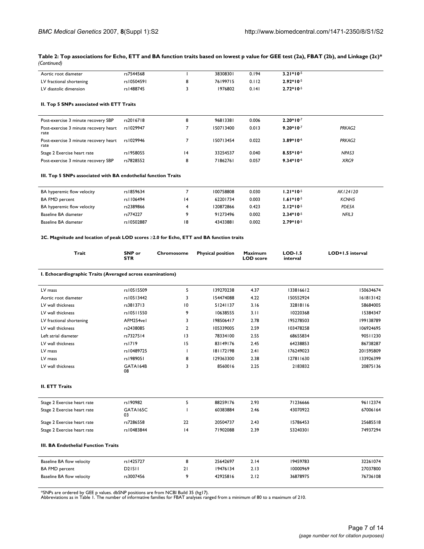| Aortic root diameter     | rs7544568  | 3830830  | 0.194 | $3.21*10-5$ |
|--------------------------|------------|----------|-------|-------------|
| LV fractional shortening | rs10504591 | 76199715 | 0.112 | $2.92*10-5$ |
| LV diastolic dimension   | rs1488745  | 1976802  | 0.141 | $2.72*10-5$ |
|                          |            |          |       |             |

#### **Table 2: Top associations for Echo, ETT and BA function traits based on lowest p value for GEE test (2a), FBAT (2b), and Linkage (2c)\*** *(Continued)*

#### **II. Top 5 SNPs associated with ETT Traits**

| Post-exercise 3 minute recovery SBP           | rs2016718 | 8 | 96813381  | 0.006 | $2.20*10-7$ |        |
|-----------------------------------------------|-----------|---|-----------|-------|-------------|--------|
| Post-exercise 3 minute recovery heart<br>rate | rs1029947 |   | 150713400 | 0.013 | $9.20*10-7$ | PRKAG2 |
| Post-exercise 3 minute recovery heart<br>rate | rs1029946 |   | 150713454 | 0.022 | $3.89*10-6$ | PRKAG2 |
| Stage 2 Exercise heart rate                   | rs1958055 | 4 | 33254537  | 0.040 | $8.55*10-6$ | NPAS3  |
| Post-exercise 3 minute recovery SBP           | rs7828552 | 8 | 71862761  | 0.057 | $9.34*10-6$ | XRG9   |

#### **III. Top 5 SNPs associated with BA endothelial function Traits**

| BA hyperemic flow velocity | rs1859634   |                | 100758808 | 0.030 | $1.21*10-5$ | AK124120 |
|----------------------------|-------------|----------------|-----------|-------|-------------|----------|
| <b>BA FMD percent</b>      | rs I 106494 | $\overline{4}$ | 62201734  | 0.003 | $1.61*10-5$ | KCNH5    |
| BA hyperemic flow velocity | rs2389866   |                | 120872866 | 0.423 | $2.12*10-5$ | PDE5A    |
| Baseline BA diameter       | rs774227    | ۰              | 91273496  | 0.002 | $2.34*10-5$ | NFIL3    |
| Baseline BA diameter       | rs10502887  | 18             | 43433881  | 0.002 | $2.79*10-5$ |          |

#### **2C. Magnitude and location of peak LOD scores** ≥**2.0 for Echo, ETT and BA function traits**

| Trait                                                      | SNP or<br><b>STR</b> | Chromosome     | <b>Physical position</b> | <b>Maximum</b><br><b>LOD</b> score | <b>LOD-1.5</b><br>interval | LOD+1.5 interval |
|------------------------------------------------------------|----------------------|----------------|--------------------------|------------------------------------|----------------------------|------------------|
| I. Echocardiographic Traits (Averaged across examinations) |                      |                |                          |                                    |                            |                  |
| LV mass                                                    | rs10515509           | 5              | 139270238                | 4.37                               | 133816612                  | 150634674        |
| Aortic root diameter                                       | rs10513442           | 3              | 154474088                | 4.22                               | 150552924                  | 161813142        |
| LV wall thickness                                          | rs3813713            | 10             | 51241137                 | 3.16                               | 32818116                   | 58684005         |
| LV wall thickness                                          | rs10511550           | 9              | 10638555                 | 3.11                               | 10220368                   | 15384347         |
| LV fractional shortening                                   | AFM254vel            | 3              | 198506417                | 2.78                               | 195278503                  | 199138789        |
| LV wall thickness                                          | rs2438085            | $\overline{2}$ | 105339005                | 2.59                               | 103478258                  | 106924695        |
| Left atrial diameter                                       | rs7327514            | 3              | 78334100                 | 2.55                               | 68655834                   | 90511230         |
| LV wall thickness                                          | rs1719               | 15             | 83149176                 | 2.45                               | 64238853                   | 86738287         |
| LV mass                                                    | rs10489725           |                | 181172198                | 2.41                               | 176249023                  | 201595809        |
| LV mass                                                    | rs1989051            | 8              | 129363300                | 2.38                               | 127811630                  | 133926399        |
| LV wall thickness                                          | GATA164B<br>08       | 3              | 8560016                  | 2.25                               | 2183832                    | 20875136         |
| <b>II. ETT Traits</b>                                      |                      |                |                          |                                    |                            |                  |
| Stage 2 Exercise heart rate                                | rs190982             | 5              | 88259176                 | 2.93                               | 71236666                   | 96112374         |
| Stage 2 Exercise heart rate                                | GATA165C<br>03       |                | 60383884                 | 2.46                               | 43070922                   | 67006164         |
| Stage 2 Exercise heart rate                                | rs7286558            | 22             | 20504737                 | 2.43                               | 15786453                   | 25685518         |
| Stage 2 Exercise heart rate                                | rs10483844           | 4              | 71902088                 | 2.39                               | 53240301                   | 74937294         |
| <b>III. BA Endothelial Function Traits</b>                 |                      |                |                          |                                    |                            |                  |
| Baseline BA flow velocity                                  | rs1425727            | 8              | 25642697                 | 2.14                               | 19459783                   | 32261074         |
| <b>BA FMD percent</b>                                      | D <sub>2</sub> ISII  | 21             | 19476134                 | 2.13                               | 10000969                   | 27037800         |
| Baseline BA flow velocity                                  | rs3007456            | 9              | 42925816                 | 2.12                               | 36878975                   | 76736108         |

\*SNPs are ordered by GEE p values. dbSNP positions are from NCBI Build 35 (hg17). Abbreviations as in Table 1. The number of informative families for FBAT analyses ranged from a minimum of 80 to a maximum of 210.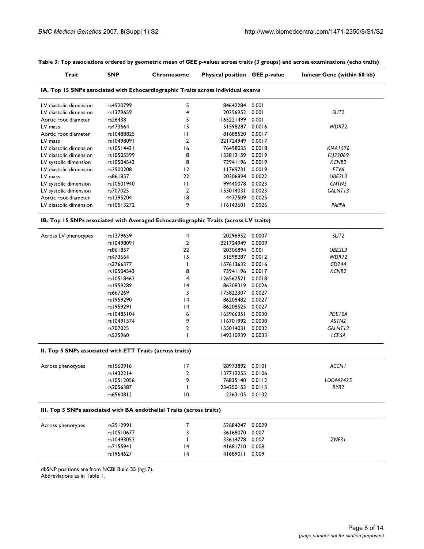| Trait                                                                                | <b>SNP</b> | Chromosome     | Physical position GEE p-value |        | In/near Gene (within 60 kb) |
|--------------------------------------------------------------------------------------|------------|----------------|-------------------------------|--------|-----------------------------|
| IA. Top 15 SNPs associated with Echocardiographic Traits across individual exams     |            |                |                               |        |                             |
| LV diastolic dimension                                                               | rs4920799  | 5              | 84642284                      | 0.001  |                             |
| LV diastolic dimension                                                               | rs1379659  | 4              | 20296952                      | 0.001  | SLIT <sub>2</sub>           |
| Aortic root diameter                                                                 | rs26438    | 5              | 165221499                     | 0.001  |                             |
| LV mass                                                                              | rs473664   | 15             | 51598287                      | 0.0016 | WDR72                       |
| Aortic root diameter                                                                 | rs10488825 | П              | 81688520                      | 0.0017 |                             |
| LV mass                                                                              | rs10498091 | 2              | 221724949                     | 0.0017 |                             |
| LV diastolic dimension                                                               | rs10514431 | 16             | 76498035                      | 0.0018 | KIAA1576                    |
| LV diastolic dimension                                                               | rs10505599 | 8              | 133812159                     | 0.0019 | FLJ33069                    |
| LV systolic dimension                                                                | rs10504543 | 8              | 73941196                      | 0.0019 | KCNB <sub>2</sub>           |
| LV diastolic dimension                                                               | rs2900208  | 12             | 11769731                      | 0.0019 | ETV6                        |
| LV mass                                                                              | rs861857   | 22             | 20306894                      | 0.0022 | UBE2L3                      |
| LV systolic dimension                                                                | rs10501940 | П              | 99440078                      | 0.0023 | CNTN5                       |
| LV systolic dimension                                                                | rs707025   | $\overline{2}$ | 155014031                     | 0.0023 | GALNT13                     |
| Aortic root diameter                                                                 | rs1395204  | 18             | 4477509                       | 0.0025 |                             |
| LV diastolic dimension                                                               | rs10513272 | 9              | 116143601                     | 0.0026 | <b>PAPPA</b>                |
| IB. Top 15 SNPs associated with Averaged Echocardiographic Traits (across LV traits) |            |                |                               |        |                             |
| Across LV phenotypes                                                                 | rs1379659  | 4              | 20296952 0.0007               |        | SLIT <sub>2</sub>           |
|                                                                                      | rs10498091 | 2              | 221724949                     | 0.0009 |                             |
|                                                                                      | rs861857   | 22             | 20306894 0.001                |        | UBE2L3                      |
|                                                                                      | rs473664   | 15             | 51598287                      | 0.0012 | WDR72                       |
|                                                                                      | rs3766377  | T              | 157613632                     | 0.0016 | CD244                       |
|                                                                                      | rs10504543 | 8              | 73941196                      | 0.0017 | KCNB <sub>2</sub>           |
|                                                                                      | rs10518462 | 4              | 126562521                     | 0.0018 |                             |
|                                                                                      | rs1959289  | 14             | 86208319                      | 0.0026 |                             |
|                                                                                      | rs667269   | 3              | 175822307                     | 0.0027 |                             |
|                                                                                      | rs1959290  | 4              | 86208482 0.0027               |        |                             |
|                                                                                      | rs1959291  | 4              | 86208525                      | 0.0027 |                             |
|                                                                                      | rs10485104 | 6              | 165966351                     | 0.0030 | PDE10A                      |
|                                                                                      | rs10491574 | 9              | 116701992                     | 0.0030 | ASTN <sub>2</sub>           |
|                                                                                      | rs707025   | 2              | 155014031                     | 0.0032 | GALNT13                     |
|                                                                                      | rs525960   | I.             | 149310939 0.0033              |        | LCE5A                       |
| II. Top 5 SNPs associated with ETT Traits (across traits)                            |            |                |                               |        |                             |
| Across phenotypes                                                                    | rs1560916  | 17             | 28973892                      | 0.0101 | <b>ACCN1</b>                |
|                                                                                      | rs1432214  | $\overline{2}$ | 137712255                     | 0.0106 |                             |
|                                                                                      | rs10512056 | 9              | 76835140 0.0112               |        | LOC442425                   |
|                                                                                      | rs2056387  | I              | 234250153 0.0115              |        | RYR <sub>2</sub>            |
|                                                                                      | rs6560812  | 10             | 2363105 0.0132                |        |                             |
| III. Top 5 SNPs associated with BA endothelial Traits (across traits)                |            |                |                               |        |                             |
| Across phenotypes                                                                    | rs2912991  | 7              | 52684247                      | 0.0029 |                             |
|                                                                                      | rs10510677 | 3              | 36168070                      | 0.007  |                             |
|                                                                                      | rs10493052 | T              | 33614778                      | 0.007  | ZNF31                       |
|                                                                                      | rs7155941  | 14             | 41681710                      | 0.008  |                             |
|                                                                                      | rs1954627  | 14             | 41689011 0.009                |        |                             |

**Table 3: Top associations ordered by geometric mean of GEE p-values across traits (3 groups) and across examinations (echo traits)**

dbSNP positions are from NCBI Build 35 (hg17).

Abbreviations as in Table 1.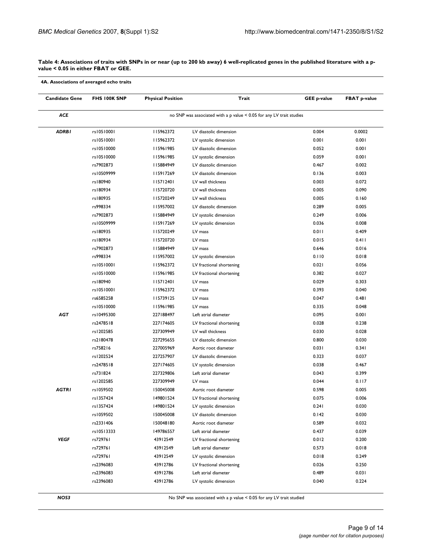#### **Table 4: Associations of traits with SNPs in or near (up to 200 kb away) 6 well-replicated genes in the published literature with a pvalue < 0.05 in either FBAT or GEE.**

**4A. Associations of averaged echo traits**

| <b>Candidate Gene</b> | FHS 100K SNP                                                         | <b>Physical Position</b> | Trait                                             | <b>GEE p-value</b> | <b>FBAT p-value</b> |  |  |  |  |
|-----------------------|----------------------------------------------------------------------|--------------------------|---------------------------------------------------|--------------------|---------------------|--|--|--|--|
| ACE                   | no SNP was associated with a p value < 0.05 for any LV trait studies |                          |                                                   |                    |                     |  |  |  |  |
| <b>ADRBI</b>          | rs10510001                                                           | 115962372                | LV diastolic dimension                            | 0.004              | 0.0002              |  |  |  |  |
|                       | rs10510001                                                           | 115962372                | LV systolic dimension                             | 0.001              | 0.001               |  |  |  |  |
|                       | rs10510000                                                           | 115961985                | LV diastolic dimension                            | 0.052              | 0.001               |  |  |  |  |
|                       | rs10510000                                                           | 115961985                | LV systolic dimension                             | 0.059              | 0.001               |  |  |  |  |
|                       | rs7902873                                                            | II5884949                | LV diastolic dimension                            | 0.467              | 0.002               |  |  |  |  |
|                       | rs10509999                                                           | 115917269                | LV diastolic dimension                            | 0.136              | 0.003               |  |  |  |  |
|                       | rs180940                                                             | 115712401                | LV wall thickness                                 | 0.003              | 0.072               |  |  |  |  |
|                       | rs180934                                                             | 115720720                | LV wall thickness                                 | 0.005              | 0.090               |  |  |  |  |
|                       | rs180935                                                             | 115720249                | LV wall thickness                                 | 0.005              | 0.160               |  |  |  |  |
|                       | rs998334                                                             | 115957002                | LV diastolic dimension                            | 0.289              | 0.005               |  |  |  |  |
|                       | rs7902873                                                            | II5884949                | LV systolic dimension                             | 0.249              | 0.006               |  |  |  |  |
|                       | rs10509999                                                           | 115917269                | LV systolic dimension                             | 0.036              | 0.008               |  |  |  |  |
|                       | rs180935                                                             | II5720249                | LV mass                                           | 0.011              | 0.409               |  |  |  |  |
|                       | rs180934                                                             | 115720720                | LV mass                                           | 0.015              | 0.411               |  |  |  |  |
|                       | rs7902873                                                            | II5884949                | LV mass                                           | 0.646              | 0.016               |  |  |  |  |
|                       | rs998334                                                             | 115957002                | LV systolic dimension                             | 0.110              | 0.018               |  |  |  |  |
|                       | rs10510001                                                           | 115962372                | LV fractional shortening                          | 0.021              | 0.056               |  |  |  |  |
|                       | rs10510000                                                           | 115961985                | LV fractional shortening                          | 0.382              | 0.027               |  |  |  |  |
|                       | rs180940                                                             | 115712401                | LV mass                                           | 0.029              | 0.303               |  |  |  |  |
|                       | rs10510001                                                           | 115962372                | LV mass                                           | 0.393              | 0.040               |  |  |  |  |
|                       | rs6585258                                                            | 115739125                | LV mass                                           | 0.047              | 0.481               |  |  |  |  |
|                       | rs10510000                                                           | 115961985                | LV mass                                           | 0.335              | 0.048               |  |  |  |  |
| AGT                   | rs10495300                                                           | 227188497                | Left atrial diameter                              | 0.095              | 0.001               |  |  |  |  |
|                       | rs2478518                                                            | 227174605                | LV fractional shortening                          | 0.028              | 0.238               |  |  |  |  |
|                       | rs1202585                                                            | 227309949                | LV wall thickness                                 | 0.030              | 0.028               |  |  |  |  |
|                       | rs2180478                                                            | 227295655                | LV diastolic dimension                            | 0.800              | 0.030               |  |  |  |  |
|                       | rs758216                                                             | 227005969                | Aortic root diameter                              | 0.031              | 0.341               |  |  |  |  |
|                       | rs1202524                                                            | 227257907                | LV diastolic dimension                            | 0.323              | 0.037               |  |  |  |  |
|                       | rs2478518                                                            | 227174605                | LV systolic dimension                             | 0.038              | 0.467               |  |  |  |  |
|                       | rs731824                                                             | 227329806                | Left atrial diameter                              | 0.043              | 0.399               |  |  |  |  |
| <b>AGTRI</b>          | rs1202585<br>rs1059502                                               | 227309949<br>150045008   | LV mass<br>Aortic root diameter                   | 0.044<br>0.598     | 0.117<br>0.005      |  |  |  |  |
|                       | rs1357424                                                            | 149801524                |                                                   | 0.075              | 0.006               |  |  |  |  |
|                       | rs1357424                                                            | 149801524                | LV fractional shortening<br>LV systolic dimension | 0.241              | 0.030               |  |  |  |  |
|                       |                                                                      | 150045008                | LV diastolic dimension                            |                    | 0.030               |  |  |  |  |
|                       | rs1059502<br>rs2331406                                               | 150048180                | Aortic root diameter                              | 0.142<br>0.589     | 0.032               |  |  |  |  |
|                       | rs10513333                                                           | 149786557                | Left atrial diameter                              | 0.437              | 0.039               |  |  |  |  |
| <b>VEGF</b>           | rs729761                                                             | 43912549                 | LV fractional shortening                          | 0.012              | 0.200               |  |  |  |  |
|                       | rs729761                                                             | 43912549                 | Left atrial diameter                              | 0.573              | 0.018               |  |  |  |  |
|                       | rs729761                                                             | 43912549                 | LV systolic dimension                             | 0.018              | 0.249               |  |  |  |  |
|                       |                                                                      |                          |                                                   | 0.026              | 0.250               |  |  |  |  |
|                       |                                                                      |                          |                                                   |                    |                     |  |  |  |  |
|                       | rs2396083<br>rs2396083                                               | 43912786<br>43912786     | LV fractional shortening<br>Left atrial diameter  | 0.489              | 0.031               |  |  |  |  |

**NOS3** No SNP was associated with a p value < 0.05 for any LV trait studied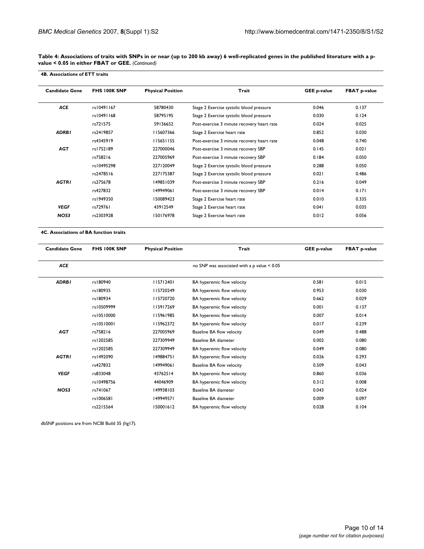**Table 4: Associations of traits with SNPs in or near (up to 200 kb away) 6 well-replicated genes in the published literature with a pvalue < 0.05 in either FBAT or GEE.** *(Continued)*

| <b>4B. Associations of ETT traits</b> |              |                          |                                            |                    |                     |
|---------------------------------------|--------------|--------------------------|--------------------------------------------|--------------------|---------------------|
| <b>Candidate Gene</b>                 | FHS 100K SNP | <b>Physical Position</b> | Trait                                      | <b>GEE p-value</b> | <b>FBAT p-value</b> |
| <b>ACE</b>                            | rs10491167   | 58780430                 | Stage 2 Exercise systolic blood pressure   | 0.046              | 0.137               |
|                                       | rs10491168   | 58795195                 | Stage 2 Exercise systolic blood pressure   | 0.030              | 0.124               |
|                                       | rs721575     | 59136652                 | Post-exercise 3 minute recovery heart rate | 0.024              | 0.025               |
| <b>ADRBI</b>                          | rs2419857    | 115607366                | Stage 2 Exercise heart rate                | 0.852              | 0.030               |
|                                       | rs4345919    | 115651155                | Post-exercise 3 minute recovery heart rate | 0.048              | 0.740               |
| <b>AGT</b>                            | rs1752189    | 227000046                | Post-exercise 3 minute recovery SBP        | 0.145              | 0.021               |
|                                       | rs758216     | 227005969                | Post-exercise 3 minute recovery SBP        | 0.184              | 0.050               |
|                                       | rs10495298   | 227120049                | Stage 2 Exercise systolic blood pressure   | 0.288              | 0.050               |
|                                       | rs2478516    | 227175387                | Stage 2 Exercise systolic blood pressure   | 0.021              | 0.486               |
| <b>AGTRI</b>                          | rs275678     | 149851039                | Post-exercise 3 minute recovery SBP        | 0.216              | 0.049               |
|                                       | rs427832     | 149949061                | Post-exercise 3 minute recovery SBP        | 0.014              | 0.171               |
|                                       | rs1949350    | 150089423                | Stage 2 Exercise heart rate                | 0.010              | 0.335               |
| <b>VEGF</b>                           | rs729761     | 43912549                 | Stage 2 Exercise heart rate                | 0.041              | 0.035               |
| NOS3                                  | rs2303928    | 150176978                | Stage 2 Exercise heart rate                | 0.012              | 0.056               |

**4C. Associations of BA function traits**

| <b>Candidate Gene</b> | <b>FHS 100K SNP</b> | <b>Physical Position</b> | Trait                                       | <b>GEE p-value</b> | <b>FBAT p-value</b> |
|-----------------------|---------------------|--------------------------|---------------------------------------------|--------------------|---------------------|
| <b>ACE</b>            |                     |                          | no SNP was associated with a p value < 0.05 |                    |                     |
| <b>ADRBI</b>          | rs180940            | 115712401                | BA hyperemic flow velocity                  | 0.581              | 0.015               |
|                       | rs180935            | 115720249                | BA hyperemic flow velocity                  | 0.953              | 0.030               |
|                       | rs180934            | 115720720                | BA hyperemic flow velocity                  | 0.662              | 0.029               |
|                       | rs10509999          | 115917269                | BA hyperemic flow velocity                  | 0.001              | 0.137               |
|                       | rs10510000          | 115961985                | BA hyperemic flow velocity                  | 0.007              | 0.014               |
|                       | rs10510001          | 115962372                | BA hyperemic flow velocity                  | 0.017              | 0.239               |
| <b>AGT</b>            | rs758216            | 227005969                | Baseline BA flow velocity                   | 0.049              | 0.488               |
|                       | rs1202585           | 227309949                | Baseline BA diameter                        | 0.002              | 0.080               |
|                       | rs1202585           | 227309949                | BA hyperemic flow velocity                  | 0.049              | 0.080               |
| <b>AGTRI</b>          | rs1492090           | 149884751                | BA hyperemic flow velocity                  | 0.026              | 0.293               |
|                       | rs427832            | 149949061                | Baseline BA flow velocity                   | 0.509              | 0.043               |
| <b>VEGF</b>           | rs833048            | 43762514                 | BA hyperemic flow velocity                  | 0.860              | 0.036               |
|                       | rs10498756          | 44046909                 | BA hyperemic flow velocity                  | 0.312              | 0.008               |
| NOS3                  | rs741067            | 149938103                | Baseline BA diameter                        | 0.043              | 0.024               |
|                       | rs1006581           | 149949571                | Baseline BA diameter                        | 0.009              | 0.097               |
|                       | rs2215564           | 150001612                | BA hyperemic flow velocity                  | 0.028              | 0.104               |

dbSNP positions are from NCBI Build 35 (hg17).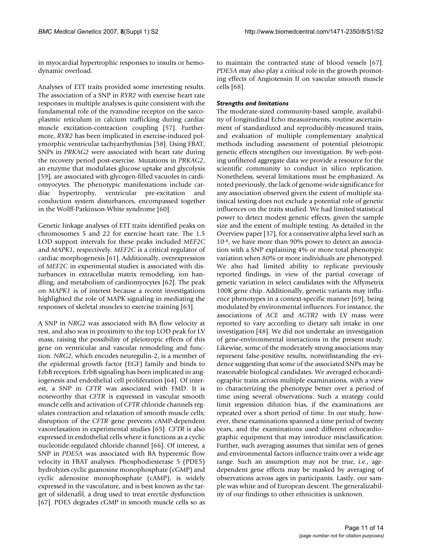in myocardial hypertrophic responses to insults or hemodynamic overload.

Analyses of ETT traits provided some interesting results. The association of a SNP in *RYR2* with exercise heart rate responses in multiple analyses is quite consistent with the fundamental role of the ryanodine receptor on the sarcoplasmic reticulum in calcium trafficking during cardiac muscle excitation-contraction coupling [57]. Furthermore, *RYR2* has been implicated in exercise-induced polymorphic ventricular tachyarrhythmias [58]. Using FBAT, SNPs in *PRKAG2* were associated with heart rate during the recovery period post-exercise. Mutations in *PRKAG2*, an enzyme that modulates glucose uptake and glycolysis [59], are associated with glycogen-filled vacuoles in cardiomyocytes. The phenotypic manifestations include cardiac hypertrophy, ventricular pre-excitation and conduction system disturbances, encompassed together in the Wolff-Parkinson-White syndrome [60].

Genetic linkage analyses of ETT traits identified peaks on chromosomes 5 and 22 for exercise heart rate. The 1.5 LOD support intervals for these peaks included *MEF2C* and *MAPK1*, respectively. *MEF2C* is a critical regulator of cardiac morphogenesis [61]. Additionally, overexpression of *MEF2C* in experimental studies is associated with disturbances in extracellular matrix remodeling, ion handling, and metabolism of cardiomyocytes [62]. The peak on *MAPK1* is of interest because a recent investigations highlighted the role of MAPK signaling in mediating the responses of skeletal muscles to exercise training [63].

A SNP in *NRG2* was associated with BA flow velocity at rest, and also was in proximity to the top LOD peak for LV mass, raising the possibility of pleiotropic effects of this gene on ventricular and vascular remodeling and function. *NRG2*, which encodes neuregulin-2, is a member of the epidermal growth factor (EGF) family and binds to ErbB receptors. ErbB signaling has been implicated in angiogenesis and endothelial cell proliferation [64]. Of interest, a SNP in *CFTR* was associated with FMD. It is noteworthy that *CFTR* is expressed in vascular smooth muscle cells and activation of *CFTR* chloride channels regulates contraction and relaxation of smooth muscle cells; disruption of the *CFTR* gene prevents cAMP-dependent vasorelaxation in experimental studies [65]. *CFTR* is also expressed in endothelial cells where it functions as a cyclic nucleotide-regulated chloride channel [66]. Of interest, a SNP in *PDE5A* was associated with BA hyperemic flow velocity in FBAT analyses. Phosphodiesterase 5 (PDE5) hydrolyzes cyclic guanosine monophosphate (cGMP) and cyclic adenosine monophosphate (cAMP), is widely expressed in the vasculature, and is best known as the target of sildenafil, a drug used to treat erectile dysfunction [67]. PDE5 degrades cGMP in smooth muscle cells so as

to maintain the contracted state of blood vessels [67]. *PDE5A* may also play a critical role in the growth promoting effects of Angiotensin II on vascular smooth muscle cells [68].

#### *Strengths and limitations*

The moderate-sized community-based sample, availability of longitudinal Echo measurements, routine ascertainment of standardized and reproducibly-measured traits, and evaluation of multiple complementary analytical methods including assessment of potential pleiotropic genetic effects strengthen our investigation. By web-posting unfiltered aggregate data we provide a resource for the scientific community to conduct in silico replication. Nonetheless, several limitations must be emphasized. As noted previously, the lack of genome-wide significance for any association observed given the extent of multiple statistical testing does not exclude a potential role of genetic influences on the traits studied. We had limited statistical power to detect modest genetic effects, given the sample size and the extent of multiple testing. As detailed in the Overview paper [37], for a conservative alpha level such as 10-8, we have more than 90% power to detect an association with a SNP explaining 4% or more total phenotypic variation when 80% or more individuals are phenotyped. We also had limited ability to replicate previously reported findings, in view of the partial coverage of genetic variation in select candidates with the Affymetrix 100K gene chip. Additionally, genetic variants may influence phenotypes in a context-specific manner [69], being modulated by environmental influences. For instance, the associations of *ACE* and *AGTR2* with LV mass were reported to vary according to dietary salt intake in one investigation [48]. We did not undertake an investigation of gene-environmental interactions in the present study. Likewise, some of the moderately strong associations may represent false-positive results, notwithstanding the evidence suggesting that some of the associated SNPs may be reasonable biological candidates. We averaged echocardiographic traits across multiple examinations, with a view to characterizing the phenotype better over a period of time using several observations. Such a strategy could limit regression dilution bias, if the examinations are repeated over a short period of time. In our study, however, these examinations spanned a time period of twenty years, and the examinations used different echocardiographic equipment that may introduce misclassification. Further, such averaging assumes that similar sets of genes and environmental factors influence traits over a wide age range. Such an assumption may not be true, i.e., agedependent gene effects may be masked by averaging of observations across ages in participants. Lastly, our sample was white and of European descent. The generalizability of our findings to other ethnicities is unknown.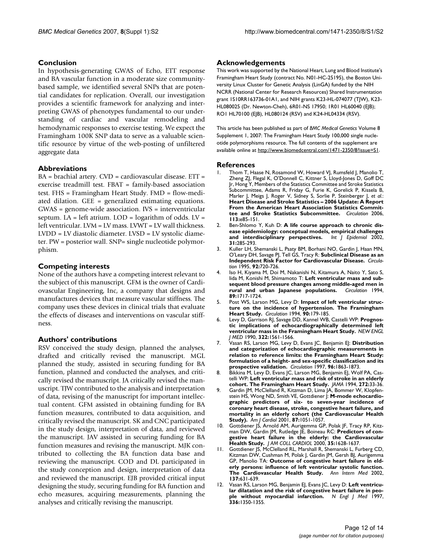# **Conclusion**

In hypothesis-generating GWAS of Echo, ETT response and BA vascular function in a moderate size communitybased sample, we identified several SNPs that are potential candidates for replication. Overall, our investigation provides a scientific framework for analyzing and interpreting GWAS of phenotypes fundamental to our understanding of cardiac and vascular remodeling and hemodynamic responses to exercise testing. We expect the Framingham 100K SNP data to serve as a valuable scientific resource by virtue of the web-posting of unfiltered aggregate data

# **Abbreviations**

BA = brachial artery. CVD = cardiovascular disease. ETT = exercise treadmill test. FBAT = family-based association test. FHS = Framingham Heart Study. FMD = flow-mediated dilation. GEE = generalized estimating equations. GWAS = genome-wide association. IVS = interventricular septum. LA = left atrium. LOD = logarithm of odds. LV = left ventricular. LVM = LV mass. LVWT = LV wall thickness. LVDD = LV diastolic diameter. LVSD = LV systolic diameter. PW = posterior wall. SNP= single nucleotide polymorphism.

# **Competing interests**

None of the authors have a competing interest relevant to the subject of this manuscript. GFM is the owner of Cardiovascular Engineering, Inc, a company that designs and manufactures devices that measure vascular stiffness. The company uses these devices in clinical trials that evaluate the effects of diseases and interventions on vascular stiffness.

#### **Authors' contributions**

RSV conceived the study design, planned the analyses, drafted and critically revised the manuscript. MGL planned the study, assisted in securing funding for BA function, planned and conducted the analyses, and critically revised the manuscript. JA critically revised the manuscript. TJW contributed to the analysis and interpretation of data, revising of the manuscript for important intellectual content. GFM assisted in obtaining funding for BA function measures, contributed to data acquisition, and critically revised the manuscript. SK and CNC participated in the study design, interpretation of data, and reviewed the manuscript. JAV assisted in securing funding for BA function measures and revising the manuscript. MJK contributed to collecting the BA function data base and reviewing the manuscript. COD and DL participated in the study conception and design, interpretation of data and reviewed the manuscript. EJB provided critical input designing the study, securing funding for BA function and echo measures, acquiring measurements, planning the analyses and critically revising the manuscript.

# **Acknowledgements**

This work was supported by the National Heart, Lung and Blood Institute's Framingham Heart Study (contract No. N01-HC-25195), the Boston University Linux Cluster for Genetic Analysis (LinGA) funded by the NIH NCRR (National Center for Research Resources) Shared Instrumentation grant 1S10RR163736-01A1, and NIH grants K23-HL-074077 (TJW), K23- HL080025 (Dr. Newton-Cheh), 6R01-NS 17950; 1R01 HL60040 (EJB); RO1 HL70100 (EJB), HL080124 (RSV) and K24-HL04334 (RSV).

This article has been published as part of *BMC Medical Genetics* Volume 8 Supplement 1, 2007: The Framingham Heart Study 100,000 single nucleotide polymorphisms resource. The full contents of the supplement are available online at<http://www.biomedcentral.com/1471-2350/8?issue=S1>.

#### **References**

- Thom T, Haase N, Rosamond W, Howard VJ, Rumsfeld J, Manolio T, Zheng ZJ, Flegal K, O'Donnell C, Kittner S, Lloyd-Jones D, Goff DC Jr, Hong Y, Members of the Statistics Committee and Stroke Statistics Subcommittee, Adams R, Friday G, Furie K, Gorelick P, Kissela B, Marler J, Meigs J, Roger V, Sidney S, Sorlie P, Steinberger J, *et al.*: **[Heart Disease and Stroke Statistics – 2006 Update: A Report](http://www.ncbi.nlm.nih.gov/entrez/query.fcgi?cmd=Retrieve&db=PubMed&dopt=Abstract&list_uids=16407573) From the American Heart Association Statistics Commit[tee and Stroke Statistics Subcommittee.](http://www.ncbi.nlm.nih.gov/entrez/query.fcgi?cmd=Retrieve&db=PubMed&dopt=Abstract&list_uids=16407573)** *Circulation* 2006, **113:**e85-151.
- 2. Ben-Shlomo Y, Kuh D: **[A life course approach to chronic dis](http://www.ncbi.nlm.nih.gov/entrez/query.fcgi?cmd=Retrieve&db=PubMed&dopt=Abstract&list_uids=11980781)[ease epidemiology: conceptual models, empirical challenges](http://www.ncbi.nlm.nih.gov/entrez/query.fcgi?cmd=Retrieve&db=PubMed&dopt=Abstract&list_uids=11980781)** [and interdisciplinary perspectives.](http://www.ncbi.nlm.nih.gov/entrez/query.fcgi?cmd=Retrieve&db=PubMed&dopt=Abstract&list_uids=11980781) **31:**285-293.
- 3. Kuller LH, Shemanski L, Psaty BM, Borhani NO, Gardin J, Haan MN, O'Leary DH, Savage PJ, Tell GS, Tracy R: **[Subclinical Disease as an](http://www.ncbi.nlm.nih.gov/entrez/query.fcgi?cmd=Retrieve&db=PubMed&dopt=Abstract&list_uids=7641349) [Independent Risk Factor for Cardiovascular Disease.](http://www.ncbi.nlm.nih.gov/entrez/query.fcgi?cmd=Retrieve&db=PubMed&dopt=Abstract&list_uids=7641349)** *Circulation* 1995, **92:**720-726.
- 4. Iso H, Kiyama M, Doi M, Nakanishi N, Kitamura A, Naito Y, Sato S, Iida M, Konishi M, Shimamoto T: **[Left ventricular mass and sub](http://www.ncbi.nlm.nih.gov/entrez/query.fcgi?cmd=Retrieve&db=PubMed&dopt=Abstract&list_uids=8149537)[sequent blood pressure changes among middle-aged men in](http://www.ncbi.nlm.nih.gov/entrez/query.fcgi?cmd=Retrieve&db=PubMed&dopt=Abstract&list_uids=8149537) [rural and urban Japanese populations.](http://www.ncbi.nlm.nih.gov/entrez/query.fcgi?cmd=Retrieve&db=PubMed&dopt=Abstract&list_uids=8149537)** *Circulation* 1994, **89:**1717-1724.
- 5. Post WS, Larson MG, Levy D: **[Impact of left ventricular struc](http://www.ncbi.nlm.nih.gov/entrez/query.fcgi?cmd=Retrieve&db=PubMed&dopt=Abstract&list_uids=8025994)[ture on the incidence of hypertension. The Framingham](http://www.ncbi.nlm.nih.gov/entrez/query.fcgi?cmd=Retrieve&db=PubMed&dopt=Abstract&list_uids=8025994) [Heart Study.](http://www.ncbi.nlm.nih.gov/entrez/query.fcgi?cmd=Retrieve&db=PubMed&dopt=Abstract&list_uids=8025994)** *Circulation* 1994, **90:**179-185.
- 6. Levy D, Garrison RJ, Savage DD, Kannel WB, Castelli WP: **[Prognos](http://www.ncbi.nlm.nih.gov/entrez/query.fcgi?cmd=Retrieve&db=PubMed&dopt=Abstract&list_uids=2139921)[tic implications of echocardiographically determined left](http://www.ncbi.nlm.nih.gov/entrez/query.fcgi?cmd=Retrieve&db=PubMed&dopt=Abstract&list_uids=2139921) [ventricular mass in the Framingham Heart Study.](http://www.ncbi.nlm.nih.gov/entrez/query.fcgi?cmd=Retrieve&db=PubMed&dopt=Abstract&list_uids=2139921)** *NEW ENGL J MED* 1990, **322:**1561-1566.
- 7. Vasan RS, Larson MG, Levy D, Evans JC, Benjamin EJ: **[Distribution](http://www.ncbi.nlm.nih.gov/entrez/query.fcgi?cmd=Retrieve&db=PubMed&dopt=Abstract&list_uids=9323074) [and categorization of echocardiographic measurements in](http://www.ncbi.nlm.nih.gov/entrez/query.fcgi?cmd=Retrieve&db=PubMed&dopt=Abstract&list_uids=9323074) relation to reference limits: the Framingham Heart Study: formulation of a height- and sex-specific classification and its [prospective validation.](http://www.ncbi.nlm.nih.gov/entrez/query.fcgi?cmd=Retrieve&db=PubMed&dopt=Abstract&list_uids=9323074)** *Circulation* 1997, **96:**1863-1873.
- 8. Bikkina M, Levy D, Evans JC, Larson MG, Benjamin EJ, Wolf PA, Castelli WP: **[Left ventricular mass and risk of stroke in an elderly](http://www.ncbi.nlm.nih.gov/entrez/query.fcgi?cmd=Retrieve&db=PubMed&dopt=Abstract&list_uids=8007076) [cohort. The Framingham Heart Study.](http://www.ncbi.nlm.nih.gov/entrez/query.fcgi?cmd=Retrieve&db=PubMed&dopt=Abstract&list_uids=8007076)** *JAMA* 1994, **272:**33-36.
- 9. Gardin JM, McClelland R, Kitzman D, Lima JA, Bommer W, Klopfenstein HS, Wong ND, Smith VE, Gottdiener J: **[M-mode echocardio](http://www.ncbi.nlm.nih.gov/entrez/query.fcgi?cmd=Retrieve&db=PubMed&dopt=Abstract&list_uids=11348601)graphic predictors of six- to seven-year incidence of [coronary heart disease, stroke, congestive heart failure, and](http://www.ncbi.nlm.nih.gov/entrez/query.fcgi?cmd=Retrieve&db=PubMed&dopt=Abstract&list_uids=11348601) mortality in an elderly cohort (the Cardiovascular Health [Study\).](http://www.ncbi.nlm.nih.gov/entrez/query.fcgi?cmd=Retrieve&db=PubMed&dopt=Abstract&list_uids=11348601)** *Am J Cardiol* 2001, **87:**1051-1057.
- 10. Gottdiener JS, Arnold AM, Aurigemma GP, Polak JF, Tracy RP, Kitzman DW, Gardin JM, Rutledge JE, Boineau RC: **[Predictors of con](http://www.ncbi.nlm.nih.gov/entrez/query.fcgi?cmd=Retrieve&db=PubMed&dopt=Abstract&list_uids=10807470)[gestive heart failure in the elderly: the Cardiovascular](http://www.ncbi.nlm.nih.gov/entrez/query.fcgi?cmd=Retrieve&db=PubMed&dopt=Abstract&list_uids=10807470) [Health Study.](http://www.ncbi.nlm.nih.gov/entrez/query.fcgi?cmd=Retrieve&db=PubMed&dopt=Abstract&list_uids=10807470)** *J AM COLL CARDIOL* 2000, **35:**1628-1637.
- 11. Gottdiener JS, McClelland RL, Marshall R, Shemanski L, Furberg CD, Kitzman DW, Cushman M, Polak J, Gardin JM, Gersh BJ, Aurigemma GP, Manolio TA: **[Outcome of congestive heart failure in eld](http://www.ncbi.nlm.nih.gov/entrez/query.fcgi?cmd=Retrieve&db=PubMed&dopt=Abstract&list_uids=12379062)[erly persons: influence of left ventricular systolic function.](http://www.ncbi.nlm.nih.gov/entrez/query.fcgi?cmd=Retrieve&db=PubMed&dopt=Abstract&list_uids=12379062) [The Cardiovascular Health Study.](http://www.ncbi.nlm.nih.gov/entrez/query.fcgi?cmd=Retrieve&db=PubMed&dopt=Abstract&list_uids=12379062)** *Ann Intern Med* 2002, **137:**631-639.
- 12. Vasan RS, Larson MG, Benjamin EJ, Evans JC, Levy D: **[Left ventricu](http://www.ncbi.nlm.nih.gov/entrez/query.fcgi?cmd=Retrieve&db=PubMed&dopt=Abstract&list_uids=9134875)[lar dilatation and the risk of congestive heart failure in peo](http://www.ncbi.nlm.nih.gov/entrez/query.fcgi?cmd=Retrieve&db=PubMed&dopt=Abstract&list_uids=9134875)[ple without myocardial infarction.](http://www.ncbi.nlm.nih.gov/entrez/query.fcgi?cmd=Retrieve&db=PubMed&dopt=Abstract&list_uids=9134875)** *N Engl J Med* 1997, **336:**1350-1355.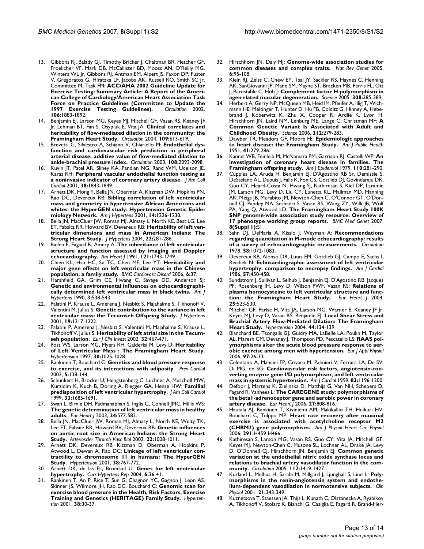- 13. Gibbons RJ, Balady GJ, Timothy Bricker J, Chaitman BR, Fletcher GF, Froelicher VF, Mark DB, McCallister BD, Mooss AN, O'Reilly MG, Winters WL Jr, Gibbons RJ, Antman EM, Alpert JS, Faxon DP, Fuster V, Gregoratos G, Hiratzka LF, Jacobs AK, Russell RO, Smith SC Jr, Committee M, Task FM: **[ACC/AHA 2002 Guideline Update for](http://www.ncbi.nlm.nih.gov/entrez/query.fcgi?cmd=Retrieve&db=PubMed&dopt=Abstract&list_uids=12356646) [Exercise Testing: Summary Article: A Report of the Ameri](http://www.ncbi.nlm.nih.gov/entrez/query.fcgi?cmd=Retrieve&db=PubMed&dopt=Abstract&list_uids=12356646)can College of Cardiology/American Heart Association Task** Force on Practice Guidelines (Committee to Update the<br>1997 Exercise Testing Guidelines). *Circulation* 2002, [1997 Exercise Testing Guidelines\).](http://www.ncbi.nlm.nih.gov/entrez/query.fcgi?cmd=Retrieve&db=PubMed&dopt=Abstract&list_uids=12356646) **106:**1883-1892.
- 14. Benjamin EJ, Larson MG, Keyes MJ, Mitchell GF, Vasan RS, Keaney JF Jr, Lehman BT, Fan S, Osypiuk E, Vita JA: **[Clinical correlates and](http://www.ncbi.nlm.nih.gov/entrez/query.fcgi?cmd=Retrieve&db=PubMed&dopt=Abstract&list_uids=14769683) [heritability of flow-mediated dilation in the community: the](http://www.ncbi.nlm.nih.gov/entrez/query.fcgi?cmd=Retrieve&db=PubMed&dopt=Abstract&list_uids=14769683) [Framingham Heart Study.](http://www.ncbi.nlm.nih.gov/entrez/query.fcgi?cmd=Retrieve&db=PubMed&dopt=Abstract&list_uids=14769683)** *Circulation* 2004, **109:**613-619.
- 15. Brevetti G, Silvestro A, Schiano V, Chiariello M: **[Endothelial dys](http://www.ncbi.nlm.nih.gov/entrez/query.fcgi?cmd=Retrieve&db=PubMed&dopt=Abstract&list_uids=14530195)[function and cardiovascular risk prediction in peripheral](http://www.ncbi.nlm.nih.gov/entrez/query.fcgi?cmd=Retrieve&db=PubMed&dopt=Abstract&list_uids=14530195) arterial disease: additive value of flow-mediated dilation to [ankle-brachial pressure index.](http://www.ncbi.nlm.nih.gov/entrez/query.fcgi?cmd=Retrieve&db=PubMed&dopt=Abstract&list_uids=14530195)** *Circulation* 2003, **108:**2093-2098.
- 16. Kuvin JT, Patel AR, Sliney KA, Pandian NG, Rand WM, Udelson JE, Karas RH: **[Peripheral vascular endothelial function testing as](http://www.ncbi.nlm.nih.gov/entrez/query.fcgi?cmd=Retrieve&db=PubMed&dopt=Abstract&list_uids=11738283) [a noninvasive indicator of coronary artery disease.](http://www.ncbi.nlm.nih.gov/entrez/query.fcgi?cmd=Retrieve&db=PubMed&dopt=Abstract&list_uids=11738283)** *J Am Coll Cardiol* 2001, **38:**1843-1849.
- 17. Arnett DK, Hong Y, Bella JN, Oberman A, Kitzman DW, Hopkins PN, Rao DC, Devereux RB: **[Sibling correlation of left ventricular](http://www.ncbi.nlm.nih.gov/entrez/query.fcgi?cmd=Retrieve&db=PubMed&dopt=Abstract&list_uids=11775131) [mass and geometry in hypertensive African Americans and](http://www.ncbi.nlm.nih.gov/entrez/query.fcgi?cmd=Retrieve&db=PubMed&dopt=Abstract&list_uids=11775131) whites: the HyperGEN study. Hypertension Genetic Epide[miology Network.](http://www.ncbi.nlm.nih.gov/entrez/query.fcgi?cmd=Retrieve&db=PubMed&dopt=Abstract&list_uids=11775131)** *Am J Hypertens* 2001, **14:**1226-1230.
- 18. Bella JN, MacCluer JW, Roman MJ, Almasy L, North KE, Best LG, Lee ET, Fabsitz RR, Howard BV, Devereux RB: **[Heritability of left ven](http://www.ncbi.nlm.nih.gov/entrez/query.fcgi?cmd=Retrieve&db=PubMed&dopt=Abstract&list_uids=15076185)[tricular dimensions and mass in American Indians: The](http://www.ncbi.nlm.nih.gov/entrez/query.fcgi?cmd=Retrieve&db=PubMed&dopt=Abstract&list_uids=15076185) [Strong Heart Study.](http://www.ncbi.nlm.nih.gov/entrez/query.fcgi?cmd=Retrieve&db=PubMed&dopt=Abstract&list_uids=15076185)** *J Hypertens* 2004, **22:**281-286.
- 19. Bielen E, Fagard R, Amery A: **[The inheritance of left ventricular](http://www.ncbi.nlm.nih.gov/entrez/query.fcgi?cmd=Retrieve&db=PubMed&dopt=Abstract&list_uids=2035387) [structure and function assessed by imaging and Doppler](http://www.ncbi.nlm.nih.gov/entrez/query.fcgi?cmd=Retrieve&db=PubMed&dopt=Abstract&list_uids=2035387) [echocardiography.](http://www.ncbi.nlm.nih.gov/entrez/query.fcgi?cmd=Retrieve&db=PubMed&dopt=Abstract&list_uids=2035387)** *Am Heart J* 1991, **121:**1743-1749.
- 20. Chien KL, Hsu HC, Su TC, Chen MF, Lee YT: **[Heritability and](http://www.ncbi.nlm.nih.gov/entrez/query.fcgi?cmd=Retrieve&db=PubMed&dopt=Abstract&list_uids=16945138) [major gene effects on left ventricular mass in the Chinese](http://www.ncbi.nlm.nih.gov/entrez/query.fcgi?cmd=Retrieve&db=PubMed&dopt=Abstract&list_uids=16945138) [population: a family study.](http://www.ncbi.nlm.nih.gov/entrez/query.fcgi?cmd=Retrieve&db=PubMed&dopt=Abstract&list_uids=16945138)** *BMC Cardiovasc Disord* 2006, **6:**37.
- 21. Harshfield GA, Grim CE, Hwang C, Savage DD, Anderson SJ: **[Genetic and environmental influences on echocardiographi](http://www.ncbi.nlm.nih.gov/entrez/query.fcgi?cmd=Retrieve&db=PubMed&dopt=Abstract&list_uids=2141989)[cally determined left ventricular mass in black twins.](http://www.ncbi.nlm.nih.gov/entrez/query.fcgi?cmd=Retrieve&db=PubMed&dopt=Abstract&list_uids=2141989)** *Am J Hypertens* 1990, **3:**538-543.
- 22. Palatini P, Krause L, Amerena J, Nesbitt S, Majahalme S, Tikhonoff V, Valentini M, Julius S: **[Genetic contribution to the variance in left](http://www.ncbi.nlm.nih.gov/entrez/query.fcgi?cmd=Retrieve&db=PubMed&dopt=Abstract&list_uids=11446711) [ventricular mass: the Tecumseh Offspring Study.](http://www.ncbi.nlm.nih.gov/entrez/query.fcgi?cmd=Retrieve&db=PubMed&dopt=Abstract&list_uids=11446711)** *J Hypertens* 2001, **19:**1217-1222.
- 23. Palatini P, Amerena J, Nesbitt S, Valentini M, Majahalme S, Krause L, Tikhonoff V, Julius S: **[Heritability of left atrial size in the Tecum](http://www.ncbi.nlm.nih.gov/entrez/query.fcgi?cmd=Retrieve&db=PubMed&dopt=Abstract&list_uids=12153545)[seh population.](http://www.ncbi.nlm.nih.gov/entrez/query.fcgi?cmd=Retrieve&db=PubMed&dopt=Abstract&list_uids=12153545)** *Eur J Clin Invest* 2002, **32:**467-471.
- 24. Post WS, Larson MG, Myers RH, Galderisi M, Levy D: **[Heritability](http://www.ncbi.nlm.nih.gov/entrez/query.fcgi?cmd=Retrieve&db=PubMed&dopt=Abstract&list_uids=9369250) [of Left Ventricular Mass : The Framingham Heart Study.](http://www.ncbi.nlm.nih.gov/entrez/query.fcgi?cmd=Retrieve&db=PubMed&dopt=Abstract&list_uids=9369250)** *Hypertension* 1997, **30:**1025-1028.
- 25. Rankinen T, Bouchard C: **[Genetics and blood pressure response](http://www.ncbi.nlm.nih.gov/entrez/query.fcgi?cmd=Retrieve&db=PubMed&dopt=Abstract&list_uids=12091756) [to exercise, and its interactions with adiposity.](http://www.ncbi.nlm.nih.gov/entrez/query.fcgi?cmd=Retrieve&db=PubMed&dopt=Abstract&list_uids=12091756)** *Prev Cardiol* 2002, **5:**138-144.
- 26. Schunkert H, Brockel U, Hengstenberg C, Luchner A, Muscholl MW, Kurzidim K, Kuch B, Doring A, Riegger GA, Hense HW: **[Familial](http://www.ncbi.nlm.nih.gov/entrez/query.fcgi?cmd=Retrieve&db=PubMed&dopt=Abstract&list_uids=10334443) [predisposition of left ventricular hypertrophy.](http://www.ncbi.nlm.nih.gov/entrez/query.fcgi?cmd=Retrieve&db=PubMed&dopt=Abstract&list_uids=10334443)** *J Am Coll Cardiol* 1999, **33:**1685-1691.
- 27. Swan L, Birnie DH, Padmanabhan S, Inglis G, Connell JMC, Hillis WS: **[The genetic determination of left ventricular mass in healthy](http://www.ncbi.nlm.nih.gov/entrez/query.fcgi?cmd=Retrieve&db=PubMed&dopt=Abstract&list_uids=12643891) [adults.](http://www.ncbi.nlm.nih.gov/entrez/query.fcgi?cmd=Retrieve&db=PubMed&dopt=Abstract&list_uids=12643891)** *Eur Heart J* 2003, **24:**577-582.
- 28. Bella JN, MacCluer JW, Roman MJ, Almasy L, North KE, Welty TK, Lee ET, Fabsitz RR, Howard BV, Devereux RB: **[Genetic influences](http://www.ncbi.nlm.nih.gov/entrez/query.fcgi?cmd=Retrieve&db=PubMed&dopt=Abstract&list_uids=12067912) [on aortic root size in American Indians: the Strong Heart](http://www.ncbi.nlm.nih.gov/entrez/query.fcgi?cmd=Retrieve&db=PubMed&dopt=Abstract&list_uids=12067912) [Study.](http://www.ncbi.nlm.nih.gov/entrez/query.fcgi?cmd=Retrieve&db=PubMed&dopt=Abstract&list_uids=12067912)** *Arterioscler Thromb Vasc Biol* 2002, **22:**1008-1011.
- 29. Arnett DK, Devereux RB, Kitzman D, Oberman A, Hopkins P, Atwood L, Dewan A, Rao DC: **[Linkage of left ventricular con](http://www.ncbi.nlm.nih.gov/entrez/query.fcgi?cmd=Retrieve&db=PubMed&dopt=Abstract&list_uids=11641284)[tractility to chromosome 11 in humans: The HyperGEN](http://www.ncbi.nlm.nih.gov/entrez/query.fcgi?cmd=Retrieve&db=PubMed&dopt=Abstract&list_uids=11641284) [Study.](http://www.ncbi.nlm.nih.gov/entrez/query.fcgi?cmd=Retrieve&db=PubMed&dopt=Abstract&list_uids=11641284)** *Hypertension* 2001, **38:**767-772.
- 30. Arnett DK, de las FL, Broeckel U: **[Genes for left ventricular](http://www.ncbi.nlm.nih.gov/entrez/query.fcgi?cmd=Retrieve&db=PubMed&dopt=Abstract&list_uids=14972088) [hypertrophy.](http://www.ncbi.nlm.nih.gov/entrez/query.fcgi?cmd=Retrieve&db=PubMed&dopt=Abstract&list_uids=14972088)** *Curr Hypertens Rep* 2004, **6:**36-41.
- 31. Rankinen T, An P, Rice T, Sun G, Chagnon YC, Gagnon J, Leon AS, Skinner JS, Wilmore JH, Rao DC, Bouchard C: **[Genomic scan for](http://www.ncbi.nlm.nih.gov/entrez/query.fcgi?cmd=Retrieve&db=PubMed&dopt=Abstract&list_uids=11463756) [exercise blood pressure in the Health, Risk Factors, Exercise](http://www.ncbi.nlm.nih.gov/entrez/query.fcgi?cmd=Retrieve&db=PubMed&dopt=Abstract&list_uids=11463756) [Training and Genetics \(HERITAGE\) Family Study.](http://www.ncbi.nlm.nih.gov/entrez/query.fcgi?cmd=Retrieve&db=PubMed&dopt=Abstract&list_uids=11463756)** *Hypertension* 2001, **38:**30-37.
- 32. Hirschhorn JN, Daly MJ: **[Genome-wide association studies for](http://www.ncbi.nlm.nih.gov/entrez/query.fcgi?cmd=Retrieve&db=PubMed&dopt=Abstract&list_uids=15716906) [common diseases and complex traits.](http://www.ncbi.nlm.nih.gov/entrez/query.fcgi?cmd=Retrieve&db=PubMed&dopt=Abstract&list_uids=15716906)** *Nat Rev Genet* 2005, **6:**95-108.
- 33. Klein RJ, Zeiss C, Chew EY, Tsai JY, Sackler RS, Haynes C, Henning AK, SanGiovanni JP, Mane SM, Mayne ST, Bracken MB, Ferris FL, Ott J, Barnstable C, Hoh J: **[Complement factor H polymorphism in](http://www.ncbi.nlm.nih.gov/entrez/query.fcgi?cmd=Retrieve&db=PubMed&dopt=Abstract&list_uids=15761122) [age-related macular degeneration.](http://www.ncbi.nlm.nih.gov/entrez/query.fcgi?cmd=Retrieve&db=PubMed&dopt=Abstract&list_uids=15761122)** *Science* 2005, **308:**385-389.
- Herbert A, Gerry NP, McQueen MB, Heid IM, Pfeufer A, Illig T, Wichmann HE, Meitinger T, Hunter D, Hu FB, Colditz G, Hinney A, Hebebrand J, Koberwitz K, Zhu X, Cooper R, Ardlie K, Lyon H, Hirschhorn JN, Laird NM, Lenburg ME, Lange C, Christman MF: **[A](http://www.ncbi.nlm.nih.gov/entrez/query.fcgi?cmd=Retrieve&db=PubMed&dopt=Abstract&list_uids=16614226) [Common Genetic Variant Is Associated with Adult and](http://www.ncbi.nlm.nih.gov/entrez/query.fcgi?cmd=Retrieve&db=PubMed&dopt=Abstract&list_uids=16614226) [Childhood Obesity.](http://www.ncbi.nlm.nih.gov/entrez/query.fcgi?cmd=Retrieve&db=PubMed&dopt=Abstract&list_uids=16614226)** *Science* 2006, **312:**279-283.
- 35. Dawber TR, Meadors GF, Moore FE: **Epidemiologic approaches to heart disease: the Framingham Study.** *Am J Public Health* 1951, **41:**279-286.
- 36. Kannel WB, Feinleib M, McNamara PM, Garrison RJ, Castelli WP: **[An](http://www.ncbi.nlm.nih.gov/entrez/query.fcgi?cmd=Retrieve&db=PubMed&dopt=Abstract&list_uids=474565) [investigation of coronary heart disease in families. The](http://www.ncbi.nlm.nih.gov/entrez/query.fcgi?cmd=Retrieve&db=PubMed&dopt=Abstract&list_uids=474565) [Framingham offspring study.](http://www.ncbi.nlm.nih.gov/entrez/query.fcgi?cmd=Retrieve&db=PubMed&dopt=Abstract&list_uids=474565)** *Am J Epidemiol* 1979, **110:**281-290.
- 37. Cupples LA, Aruda H, Benjamin EJ, D'Agostino RB Sr, Demissie S, DeStefano AL, Dupuis J, Falls K, Fox CS, Gottlieb DJ, Govindaraju DR, Guo CY, Heard-Costa N, Hwang SJ, Kathiresan S, Kiel DP, Laramie JM, Larson MG, Levy D, Liu CY, Lunetta KL, Mailman MD, Manning AK, Meigs JB, Murabito JM, Newton-Cheh C, O'Connor GT, O'Donnell CJ, Pandey MA, Seshadri S, Vasan RS, Wang ZY, Wilk JB, Wolf PA, Yang Q, Atwood LD: **The Framingham Heart Study 100K SNP genome-wide association study resource: Overview of 17 phenotype working group reports.** *BMC Med Genet* 2007, **8(Suppl 1):**S1.
- 38. Sahn DJ, DeMaria A, Kisslo J, Weyman A: **[Recommendations](http://www.ncbi.nlm.nih.gov/entrez/query.fcgi?cmd=Retrieve&db=PubMed&dopt=Abstract&list_uids=709763) [regarding quantitation in M-mode echocardiography: results](http://www.ncbi.nlm.nih.gov/entrez/query.fcgi?cmd=Retrieve&db=PubMed&dopt=Abstract&list_uids=709763) [of a survey of echocardiographic measurements.](http://www.ncbi.nlm.nih.gov/entrez/query.fcgi?cmd=Retrieve&db=PubMed&dopt=Abstract&list_uids=709763)** *Circulation* 1978, **58:**1072-1083.
- 39. Devereux RB, Alonso DR, Lutas EM, Gottlieb GJ, Campo E, Sachs I, Reichek N: **[Echocardiographic assessment of left ventricular](http://www.ncbi.nlm.nih.gov/entrez/query.fcgi?cmd=Retrieve&db=PubMed&dopt=Abstract&list_uids=2936235) [hypertrophy: comparison to necropsy findings.](http://www.ncbi.nlm.nih.gov/entrez/query.fcgi?cmd=Retrieve&db=PubMed&dopt=Abstract&list_uids=2936235)** *Am J Cardiol* 1986, **57:**450-458.
- 40. Sundstrom J, Sullivan L, Selhub J, Benjamin EJ, D'Agostino RB, Jacques PF, Rosenberg IH, Levy D, Wilson PWF, Vasan RS: **[Relations of](http://www.ncbi.nlm.nih.gov/entrez/query.fcgi?cmd=Retrieve&db=PubMed&dopt=Abstract&list_uids=15039133) [plasma homocysteine to left ventricular structure and func](http://www.ncbi.nlm.nih.gov/entrez/query.fcgi?cmd=Retrieve&db=PubMed&dopt=Abstract&list_uids=15039133)[tion: the Framingham Heart Study.](http://www.ncbi.nlm.nih.gov/entrez/query.fcgi?cmd=Retrieve&db=PubMed&dopt=Abstract&list_uids=15039133)** *Eur Heart J* 2004, **25:**523-530.
- 41. Mitchell GF, Parise H, Vita JA, Larson MG, Warner E, Keaney JF Jr, Keyes MJ, Levy D, Vasan RS, Benjamin EJ: **[Local Shear Stress and](http://www.ncbi.nlm.nih.gov/entrez/query.fcgi?cmd=Retrieve&db=PubMed&dopt=Abstract&list_uids=15249547) [Brachial Artery Flow-Mediated Dilation: The Framingham](http://www.ncbi.nlm.nih.gov/entrez/query.fcgi?cmd=Retrieve&db=PubMed&dopt=Abstract&list_uids=15249547) [Heart Study.](http://www.ncbi.nlm.nih.gov/entrez/query.fcgi?cmd=Retrieve&db=PubMed&dopt=Abstract&list_uids=15249547)** *Hypertension* 2004, **44:**134-139.
- 42. Blanchard BE, Tsongalis GJ, Guidry MA, LaBelle LA, Poulin M, Taylor AL, Maresh CM, Devaney J, Thompson PD, Pescatello LS: **[RAAS pol](http://www.ncbi.nlm.nih.gov/entrez/query.fcgi?cmd=Retrieve&db=PubMed&dopt=Abstract&list_uids=16468060)[ymorphisms alter the acute blood pressure response to aer](http://www.ncbi.nlm.nih.gov/entrez/query.fcgi?cmd=Retrieve&db=PubMed&dopt=Abstract&list_uids=16468060)[obic exercise among men with hypertension.](http://www.ncbi.nlm.nih.gov/entrez/query.fcgi?cmd=Retrieve&db=PubMed&dopt=Abstract&list_uids=16468060)** *Eur J Appl Physiol* 2006, **97:**26-33.
- 43. Celentano A, Mancini FP, Crivaro M, Palmieri V, Ferrara LA, De SV, Di MG, de SG: **[Cardiovascular risk factors, angiotensin-con](http://www.ncbi.nlm.nih.gov/entrez/query.fcgi?cmd=Retrieve&db=PubMed&dopt=Abstract&list_uids=10215283)[verting enzyme gene I/D polymorphism, and left ventricular](http://www.ncbi.nlm.nih.gov/entrez/query.fcgi?cmd=Retrieve&db=PubMed&dopt=Abstract&list_uids=10215283) [mass in systemic hypertension.](http://www.ncbi.nlm.nih.gov/entrez/query.fcgi?cmd=Retrieve&db=PubMed&dopt=Abstract&list_uids=10215283)** *Am J Cardiol* 1999, **83:**1196-1200.
- 44. Defoor J, Martens K, Zielinska D, Matthijs G, Van NH, Schepers D, Fagard R, Vanhees L: **[The CAREGENE study: polymorphisms of](http://www.ncbi.nlm.nih.gov/entrez/query.fcgi?cmd=Retrieve&db=PubMed&dopt=Abstract&list_uids=16421173) [the beta1-adrenoceptor gene and aerobic power in coronary](http://www.ncbi.nlm.nih.gov/entrez/query.fcgi?cmd=Retrieve&db=PubMed&dopt=Abstract&list_uids=16421173) [artery disease.](http://www.ncbi.nlm.nih.gov/entrez/query.fcgi?cmd=Retrieve&db=PubMed&dopt=Abstract&list_uids=16421173)** *Eur Heart J* 2006, **27:**808-816.
- 45. Hautala AJ, Rankinen T, Kiviniemi AM, Makikallio TH, Huikuri HV, Bouchard C, Tulppo MP: **[Heart rate recovery after maximal](http://www.ncbi.nlm.nih.gov/entrez/query.fcgi?cmd=Retrieve&db=PubMed&dopt=Abstract&list_uids=16501017) [exercise is associated with acetylcholine receptor M2](http://www.ncbi.nlm.nih.gov/entrez/query.fcgi?cmd=Retrieve&db=PubMed&dopt=Abstract&list_uids=16501017) [\(CHRM2\) gene polymorphism.](http://www.ncbi.nlm.nih.gov/entrez/query.fcgi?cmd=Retrieve&db=PubMed&dopt=Abstract&list_uids=16501017)** *Am J Physiol Heart Circ Physiol* 2006, **291:**H459-H466.
- 46. Kathiresan S, Larson MG, Vasan RS, Guo CY, Vita JA, Mitchell GF, Keyes MJ, Newton-Cheh C, Musone SL, Lochner AL, Drake JA, Levy D, O'Donnell CJ, Hirschhorn JN, Benjamin EJ: **[Common genetic](http://www.ncbi.nlm.nih.gov/entrez/query.fcgi?cmd=Retrieve&db=PubMed&dopt=Abstract&list_uids=16129794) [variation at the endothelial nitric oxide synthase locus and](http://www.ncbi.nlm.nih.gov/entrez/query.fcgi?cmd=Retrieve&db=PubMed&dopt=Abstract&list_uids=16129794) relations to brachial artery vasodilator function in the com[munity.](http://www.ncbi.nlm.nih.gov/entrez/query.fcgi?cmd=Retrieve&db=PubMed&dopt=Abstract&list_uids=16129794)** *Circulation* 2005, **112:**1419-1427.
- 47. Kurland L, Melhus H, Sarabi M, Millgard J, Ljunghall S, Lind L: **[Poly](http://www.ncbi.nlm.nih.gov/entrez/query.fcgi?cmd=Retrieve&db=PubMed&dopt=Abstract&list_uids=11380534)[morphisms in the renin-angiotensin system and endothe](http://www.ncbi.nlm.nih.gov/entrez/query.fcgi?cmd=Retrieve&db=PubMed&dopt=Abstract&list_uids=11380534)[lium-dependent vasodilation in normotensive subjects.](http://www.ncbi.nlm.nih.gov/entrez/query.fcgi?cmd=Retrieve&db=PubMed&dopt=Abstract&list_uids=11380534)** *Clin Physiol* 2001, **21:**343-349.
- 48. Kuznetsova T, Staessen JA, Thijs L, Kunath C, Olszanecka A, Ryabikov A, Tikhonoff V, Stolarz K, Bianchi G, Casiglia E, Fagard R, Brand-Her-